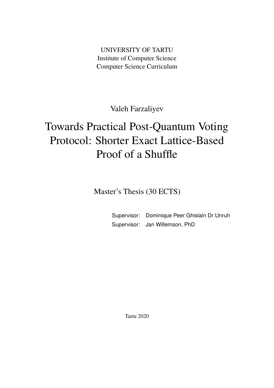UNIVERSITY OF TARTU Institute of Computer Science Computer Science Curriculum

Valeh Farzaliyev

# Towards Practical Post-Quantum Voting Protocol: Shorter Exact Lattice-Based Proof of a Shuffle

Master's Thesis (30 ECTS)

Supervisor: Dominique Peer Ghislain Dr Unruh Supervisor: Jan Willemson, PhD

Tartu 2020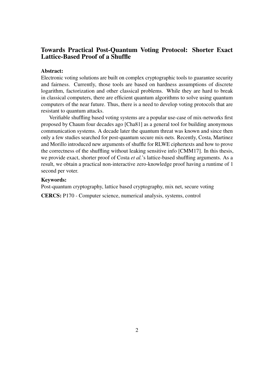### Towards Practical Post-Quantum Voting Protocol: Shorter Exact Lattice-Based Proof of a Shuffle

#### Abstract:

Electronic voting solutions are built on complex cryptographic tools to guarantee security and fairness. Currently, those tools are based on hardness assumptions of discrete logarithm, factorization and other classical problems. While they are hard to break in classical computers, there are efficient quantum algorithms to solve using quantum computers of the near future. Thus, there is a need to develop voting protocols that are resistant to quantum attacks.

Verifiable shuffling based voting systems are a popular use-case of mix-networks first proposed by Chaum four decades ago [\[Cha81\]](#page-42-0) as a general tool for building anonymous communication systems. A decade later the quantum threat was known and since then only a few studies searched for post-quantum secure mix-nets. Recently, Costa, Martinez and Morillo introduced new arguments of shuffle for RLWE ciphertexts and how to prove the correctness of the shuffling without leaking sensitive info [\[CMM17\]](#page-42-1). In this thesis, we provide exact, shorter proof of Costa *et al.*'s lattice-based shuffling arguments. As a result, we obtain a practical non-interactive zero-knowledge proof having a runtime of 1 second per voter.

#### Keywords:

Post-quantum cryptography, lattice based cryptography, mix net, secure voting

CERCS: P170 - Computer science, numerical analysis, systems, control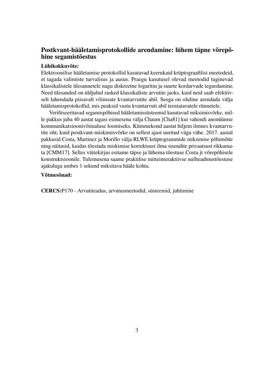### Postkvant-hääletamisprotokollide arendamine: lühem täpne võrepõhine segamistõestus

#### Lühikokkuvõte:

Elektroonilise hääletamise protokollid kasutavad keerukaid krüptograafilisi meetodeid, et tagada valimiste turvalisus ja ausus. Praegu kasutusel olevad meetodid tuginevad klassikalistele ülesannetele nagu diskreetne logaritm ja suurte kordarvude tegurdamine. Need ülesanded on üldjuhul rasked klassikaliste arvutite jaoks, kuid neid saab efektiivselt lahendada piisavalt võimsate kvantarvutite abil. Seega on oluline arendada välja hääletamisprotokollid, mis peaksid vastu kvantarvuti abil teostatavatele rünnetele.

Verifitseeritavad segamispõhised hääletamissüsteemid kasutavad miksimisvõrke, mille pakkus juba 40 aastat tagasi esimesena välja Chaum [\[Cha81\]](#page-42-0) kui vahendi anonüümse kommunikatsioonivõimaluse loomiseks. Kümmekond aastat hiljem ilmnes kvantarvutite oht, kuid postkvant-miskimisvõrke on sellest ajast uuritud väga vähe. 2017. aastal pakkusid Costa, Martinez ja Morillo välja RLWE krüptogrammide miksimise põhimõtte ning näitasid, kuidas tõestada miskimise korrektsust ilma sisendite privaatsust rikkumata [\[CMM17\]](#page-42-1). Selles väitekirjas esitame täpse ja lühema tõestuse Costa jt võrepõhisele konstruktsioonile. Tulemusena saame praktilise mitteinteraktiivse nullteadmustõestuse ajakuluga umbes 1 sekund miksitava hääle kohta.

#### Võtmesõnad:

CERCS:P170 - Arvutiteadus, arvutusmeetodid, süsteemid, juhtimine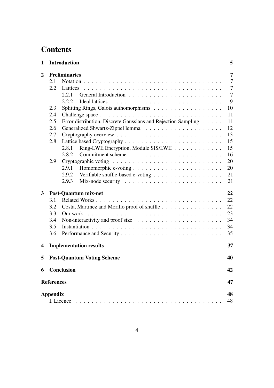# **Contents**

| 1                       | <b>Introduction</b>               |                                                                                    |                |  |  |
|-------------------------|-----------------------------------|------------------------------------------------------------------------------------|----------------|--|--|
| 2                       | <b>Preliminaries</b>              |                                                                                    |                |  |  |
|                         | 2.1                               |                                                                                    | $\overline{7}$ |  |  |
|                         | 2.2                               | Lattices                                                                           | $\tau$         |  |  |
|                         |                                   | 2.2.1                                                                              | $\overline{7}$ |  |  |
|                         |                                   | 2.2.2                                                                              | 9              |  |  |
|                         | 2.3                               |                                                                                    | 10             |  |  |
|                         | 2.4                               |                                                                                    | 11             |  |  |
|                         | 2.5                               | Error distribution, Discrete Gaussians and Rejection Sampling                      | 11             |  |  |
|                         | 2.6                               |                                                                                    | 12             |  |  |
|                         | 2.7                               |                                                                                    | 13             |  |  |
|                         | 2.8                               |                                                                                    | 15             |  |  |
|                         |                                   | Ring-LWE Encryption, Module SIS/LWE<br>2.8.1                                       | 15             |  |  |
|                         |                                   | 2.8.2                                                                              | 16             |  |  |
|                         | 2.9                               |                                                                                    | 20             |  |  |
|                         |                                   | 2.9.1                                                                              | 20             |  |  |
|                         |                                   | 2.9.2                                                                              | 21             |  |  |
|                         |                                   | 2.9.3                                                                              | 21             |  |  |
| 3                       | <b>Post-Quantum mix-net</b><br>22 |                                                                                    |                |  |  |
|                         | 3.1                               |                                                                                    | 22             |  |  |
|                         | 3.2                               | Costa, Martinez and Morillo proof of shuffle                                       | 22             |  |  |
|                         | 3.3                               | Our work                                                                           | 23             |  |  |
|                         | 3.4                               | Non-interactivity and proof size $\ldots \ldots \ldots \ldots \ldots \ldots$<br>34 |                |  |  |
|                         | 3.5                               |                                                                                    | 34             |  |  |
|                         | 3.6                               |                                                                                    | 35             |  |  |
| $\overline{\mathbf{4}}$ |                                   | <b>Implementation results</b>                                                      | 37             |  |  |
| 5                       |                                   | <b>Post-Quantum Voting Scheme</b>                                                  | 40             |  |  |
| 6                       |                                   | Conclusion                                                                         | 42             |  |  |
|                         |                                   |                                                                                    |                |  |  |
|                         | <b>References</b>                 |                                                                                    | 47             |  |  |
|                         | <b>Appendix</b>                   |                                                                                    | 48             |  |  |
|                         |                                   | I. Licence                                                                         | 48             |  |  |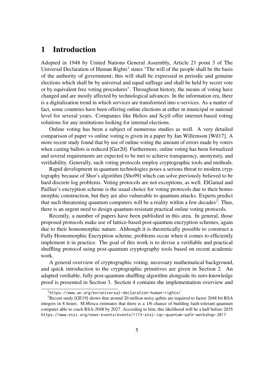# <span id="page-4-0"></span>1 Introduction

Adopted in 1948 by United Nations General Assembly, Article 21 point 3 of The Universal Declaration of Human Rights<sup>[1](#page-4-1)</sup> states "The will of the people shall be the basis of the authority of government; this will shall be expressed in periodic and genuine elections which shall be by universal and equal suffrage and shall be held by secret vote or by equivalent free voting procedures". Throughout history, the means of voting have changed and are mostly affected by technological advances. In the information era, there is a digitalization trend in which services are transformed into e-services. As a matter of fact, some countries have been offering online elections at either in municipal or national level for several years. Companies like Helios and Scytl offer internet-based voting solutions for any institutions looking for internal elections.

Online voting has been a subject of numerous studies as well. A very detailed comparison of paper vs online voting is given in a paper by Jan Willemson [\[Wil17\]](#page-45-0). A more recent study found that by use of online voting the amount of errors made by voters when casting ballots is reduced [\[Ger20\]](#page-43-0). Furthermore, online voting has been formalized and several requirements are expected to be met to achieve transparency, anonymity, and verifiability. Generally, such voting protocols employ cryptographic tools and methods.

Rapid development in quantum technologies poses a serious threat to modern cryptography because of Shor's algorithm [\[Sho99\]](#page-45-1) which can solve previously believed to be hard discrete log problems. Voting protocols are not exceptions, as well. ElGamal and Paillier's encryption scheme is the usual choice for voting protocols due to their homomorphic construction, but they are also vulnerable to quantum attacks. Experts predict that such threatening quantum computers will be a reality within a few decades<sup>[2](#page-4-2)</sup>. Thus, there is an urgent need to design quantum-resistant practical online voting protocols.

Recently, a number of papers have been published in this area. In general, those proposed protocols make use of lattice-based post-quantum encryption schemes, again due to their homomorphic nature. Although it is theoretically possible to construct a Fully Homomorphic Encryption scheme, problems occur when it comes to efficiently implement it in practice. The goal of this work is to devise a verifiable and practical shuffling protocol using post-quantum cryptography tools based on recent academic work.

A general overview of cryptographic voting, necessary mathematical background, and quick introduction to the cryptographic primitives are given in Section [2.](#page-6-0) An adapted verifiable, fully post-quantum shuffling algorithm alongside its zero-knowledge proof is presented in Section [3.](#page-21-0) Section [4](#page-36-0) contains the implementation overview and

<span id="page-4-2"></span><span id="page-4-1"></span><sup>1</sup><https://www.un.org/en/universal-declaration-human-rights/>

<sup>2</sup>Recent study [\[GE19\]](#page-43-1) shows that around 20 million noisy qubits are required to factor 2048 bit RSA integers in 8 hours. M.Mosca estimates that there is a 1/6 chance of building fault-tolerant quantum computer able to crack RSA-2048 by 2027. According to him, this likelihood will be a half before 2035 <https://www.etsi.org/news-events/events/1173-etsi-iqc-quantum-safe-workshop-2017>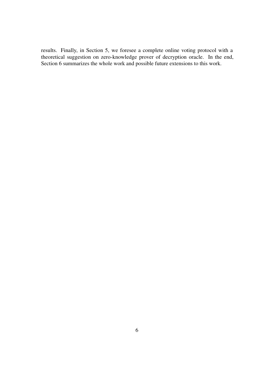results. Finally, in Section [5,](#page-39-0) we foresee a complete online voting protocol with a theoretical suggestion on zero-knowledge prover of decryption oracle. In the end, Section [6](#page-41-0) summarizes the whole work and possible future extensions to this work.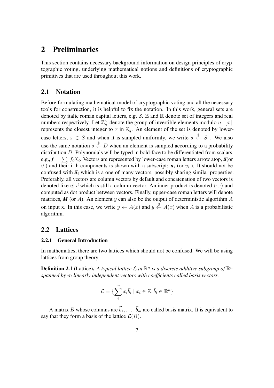## <span id="page-6-0"></span>2 Preliminaries

This section contains necessary background information on design principles of cryptographic voting, underlying mathematical notions and definitions of cryptographic primitives that are used throughout this work.

### <span id="page-6-1"></span>2.1 Notation

Before formulating mathematical model of cryptographic voting and all the necessary tools for construction, it is helpful to fix the notation. In this work, general sets are denoted by italic roman capital letters, e.g. *S*.  $\mathbb Z$  and  $\mathbb R$  denote set of integers and real numbers respectively. Let  $\mathbb{Z}_n^{\times}$  denote the group of invertible elements modulo n.  $\lfloor x \rfloor$ represents the closest integer to x in  $\mathbb{Z}_q$ . An element of the set is denoted by lowercase letters,  $s \in S$  and when it is sampled uniformly, we write  $s \stackrel{\$}{\leftarrow} S$ . We also use the same notation  $s \stackrel{\$}{\leftarrow} D$  when an element is sampled according to a probability distribution D. Polynomials will be typed in bold-face to be differentiated from scalars, e.g.,  $f = \sum_i f_i X_i$ . Vectors are represented by lower-case roman letters arrow atop,  $\vec{u}$  (or  $\vec{v}$ ) and their i-th components is shown with a subscript:  $\mathbf{u}_i$  (or  $v_i$ ). It should not be confused with  $\vec{u}_i$  which is a one of many vectors, possibly sharing similar properties. Preferably, all vectors are column vectors by default and concatenation of two vectors is denoted like  $\vec{u} || \vec{v}$  which is still a column vector. An inner product is denoted  $\langle \cdot, \cdot \rangle$  and computed as dot product between vectors. Finally, upper-case roman letters will denote matrices,  $M$  (or A). An element  $y$  can also be the output of deterministic algorithm  $A$ on input x. In this case, we write  $y \leftarrow A(x)$  and  $y \stackrel{\$}{\leftarrow} A(x)$  when A is a probabilistic algorithm.

### <span id="page-6-2"></span>2.2 Lattices

#### <span id="page-6-3"></span>2.2.1 General Introduction

In mathematics, there are two lattices which should not be confused. We will be using lattices from group theory.

**Definition 2.1** (Lattice). A typical lattice  $\mathcal L$  in  $\mathbb R^n$  is a discrete additive subgroup of  $\mathbb R^n$ *spanned by* m *linearly independent vectors with coefficients called basis vectors.*

$$
\mathcal{L} = \{ \sum_{i}^{m} x_{i} \vec{b}_{i} \mid x_{i} \in \mathbb{Z}, \vec{b}_{i} \in \mathbb{R}^{n} \}
$$

A matrix B whose columns are  $\vec{b}_1, \ldots, \vec{b}_m$  are called basis matrix. It is equivalent to say that they form a basis of the lattice  $\mathcal{L}(B)$ .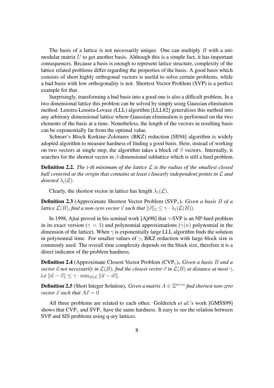The basis of a lattice is not necessarily unique. One can multiply  $B$  with a unimodular matrix  $U$  to get another basis. Although this is a simple fact, it has important consequences. Because a basis is enough to represent lattice structure, complexity of the lattice related problems differ regarding the properties of the basis. A good basis which consists of short highly orthogonal vectors is useful to solve certain problems, while a bad basis with low orthogonality is not. Shortest Vector Problem (SVP) is a perfect example for that.

Surprisingly, transforming a bad basis into a good one is also a difficult problem. In a two dimensional lattice this problem can be solved by simply using Gaussian elimination method. Lenstra-Lenstra-Lovasz (LLL) algorithm [\[LLL82\]](#page-44-0) generalizes this method into any arbitrary dimensional lattice where Gaussian elimination is performed on the two elements of the basis at a time. Nonetheless, the length of the vectors in resulting basis can be exponentially far from the optimal value.

Schnorr's Block Korkine-Zolotarev (BKZ) reduction [\[SE94\]](#page-45-2) algorithm is widely adopted algorithm to measure hardness of finding a good basis. Here, instead of working on two vectors at single step, the algorithm takes a block of  $\beta$  vectors. Internally, it searches for the shortest vector in  $\beta$ -dimensional sublattice which is still a hard problem.

Definition 2.2. *The i-th minimum of the lattice* L *is the radius of the smallest closed ball centered at the origin that contains at least i linearly independent points in* L *and denoted*  $\lambda_i(\mathcal{L})$ *.* 

Clearly, the shortest vector in lattice has length  $\lambda_1(\mathcal{L})$ .

**Definition 2.3** (Approximate Shortest Vector Problem (SVP<sub>γ</sub>). *Given a basis B of a lattice*  $\mathcal{L}(B)$ *, find a non-zero vector*  $\vec{v}$  *such that*  $\|\vec{v}\|_2 < \gamma \cdot \lambda_1(\mathcal{L}(B))$ *.* 

In 1998, Ajtai proved in his seminal work [\[Ajt98\]](#page-42-3) that  $\gamma$ -SVP is an NP-hard problem in its exact version ( $\gamma = 1$ ) and polynomial approximations ( $\gamma(n)$ ) polynomial in the dimension of the lattice). When  $\gamma$  is exponentially large LLL algorithm finds the solution in polynomial time. For smaller values of  $\gamma$ , BKZ reduction with large block size is commonly used. The overall time complexity depends on the block size, therefore it is a direct indicator of the problem hardness.

**Definition 2.4** (Approximate Closest Vector Problem (CVP<sub> $\gamma$ </sub>). *Given a basis B and a vector*  $\vec{u}$  *not necessarily in*  $\mathcal{L}(B)$ *, find the closest vector*  $\vec{v}$  *in*  $\mathcal{L}(B)$  *at distance at most*  $\gamma$ *,*  $i.e~\|\vec{u}-\vec{v}\|\leq \gamma\cdot \min_{\vec{w}\in\mathcal{L}}\|\vec{u}-\vec{w}\|.$ 

**Definition 2.5** (Short Integer Solution). *Given a matrix*  $A \in \mathbb{Z}^{m \times n}$  *find shortest non-zero vector*  $\vec{x}$  *such that*  $A\vec{x} = 0$ 

All three problems are related to each other. Goldreich *et al.*'s work [\[GMSS99\]](#page-44-1) shows that  $CVP_{\gamma}$  and  $SVP_{\gamma}$  have the same hardness. It easy to see the relation between SVP and SIS problems using q-ary lattices.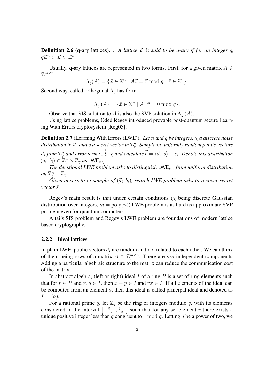**Definition 2.6** (q-ary lattices). *. A lattice*  $\mathcal L$  *is said to be q-ary if for an integer q,*  $q\mathbb{Z}^n\subset \mathcal{L}\subset \mathbb{Z}^n$ .

Usually, q-ary lattices are represented in two forms. First, for a given matrix  $A \in$  $\mathbb{Z}^{m \times n}$ 

$$
\Lambda_q(A) = \{ \vec{x} \in \mathbb{Z}^n \mid A\vec{z} = \vec{x} \bmod q : \vec{z} \in \mathbb{Z}^n \}.
$$

Second way, called orthogonal  $\Lambda_q$  has form

$$
\Lambda_q^{\perp}(A) = \{ \vec{x} \in \mathbb{Z}^n \mid A^T \vec{x} = 0 \text{ mod } q \}.
$$

Observe that SIS solution to A is also the SVP solution in  $\Lambda_q^{\perp}(A)$ .

Using lattice problems, Oded Regev introduced provable post-quantum secure Learning With Errors cryptosystem [\[Reg05\]](#page-45-3).

Definition 2.7 (Learning With Errors (LWE)). *Let* n *and* q *be integers,* χ *a discrete noise* distribution in  $\mathbb{Z}$ , and  $\vec{s}$  a secret vector in  $\mathbb{Z}_q^n$ . Sample  $m$  uniformly random public vectors

 $\vec{a}_i$  from  $\mathbb{Z}_q^n$  and error term  $e_i \overset{\leftarrow}{\$} \chi$  and calculate  $\vec{b} = \langle \vec{a}_i, \vec{s} \rangle + e_i$ . Denote this distribution  $(\vec{a}_i, b_i) \in \mathbb{Z}_q^n \times \mathbb{Z}_q$  as  $LWE_{s, \chi}$ .

*The decisional LWE problem asks to distinguish* LWEs,χ *from uniform distribution on*  $\mathbb{Z}_q^n \times \mathbb{Z}_q$ *.* 

 $Given \ access \ to \ m \ sample \ of \ ({{\vec a}_i},{{b}_i})$ *, search LWE problem asks to recover secret vector*  $\vec{s}$ *.* 

Regev's main result is that under certain conditions ( $\chi$  being discrete Gaussian distribution over integers,  $m = poly(n)$ ) LWE problem is as hard as approximate SVP problem even for quantum computers.

Ajtai's SIS problem and Regev's LWE problem are foundations of modern lattice based cryptography.

#### <span id="page-8-0"></span>2.2.2 Ideal lattices

In plain LWE, public vectors  $\vec{a}_i$  are random and not related to each other. We can think of them being rows of a matrix  $A \in \mathbb{Z}_q^{m \times n}$ . There are mn independent components. Adding a particular algebraic structure to the matrix can reduce the communication cost of the matrix.

In abstract algebra, (left or right) ideal I of a ring R is a set of ring elements such that for  $r \in R$  and  $x, y \in I$ , then  $x + y \in I$  and  $rx \in I$ . If all elements of the ideal can be computed from an element  $a$ , then this ideal is called principal ideal and denoted as  $I = (a).$ 

For a rational prime q, let  $\mathbb{Z}_q$  be the ring of integers modulo q, with its elements considered in the interval  $\left[-\frac{q-1}{2}\right]$  $\frac{-1}{2}, \frac{q-1}{2}$  $\frac{-1}{2}$  such that for any set element r there exists a unique positive integer less than q congruent to r mod q. Letting d be a power of two, we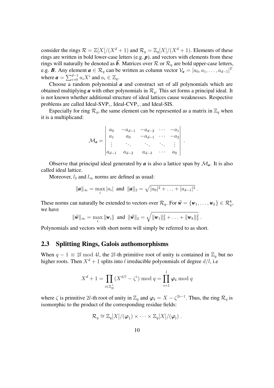consider the rings  $\mathcal{R} = \mathbb{Z}[X]/(X^d + 1)$  and  $\mathcal{R}_q = \mathbb{Z}_q[X]/(X^d + 1)$ . Elements of these rings are written in bold lower-case letters (e.g. *p*), and vectors with elements from these rings will naturally be denoted as  $\vec{b}$ . Matrices over  $\mathcal{R}$  or  $\mathcal{R}_q$  are bold upper-case letters, e.g. *B*. Any element  $a \in \mathcal{R}_q$  can be written as column vector  $V_a = [a_0, a_1, \dots, a_{d-1}]^T$ where  $\boldsymbol{a} = \sum_{i=0}^{d-1} a_i X^i$  and  $a_i \in \mathbb{Z}_q$ .

Choose a random polynomial *a* and construct set of all polynomials which are obtained multiplying  $\boldsymbol{a}$  with other polynomials in  $\mathcal{R}_{q}$ . This set forms a principal ideal. It is not known whether additional structure of ideal lattices cause weaknesses. Respective problems are called Ideal-SVP<sub> $\gamma$ </sub>, Ideal-CVP<sub> $\gamma$ </sub>, and Ideal-SIS.

Especially for ring  $\mathcal{R}_q$ , the same element can be represented as a matrix in  $\mathbb{Z}_q$  when it is a multiplicand:

$$
\mathcal{M}_{a} = \begin{vmatrix} a_{0} & -a_{d-1} & -a_{d-2} & \cdots & -a_{1} \\ a_{1} & a_{0} & -a_{d-1} & \cdots & -a_{2} \\ \vdots & \vdots & \ddots & \vdots & \vdots \\ a_{d-1} & a_{d-2} & a_{d-3} & \cdots & a_{0} \end{vmatrix}.
$$

Observe that principal ideal generated by  $\alpha$  is also a lattice span by  $\mathcal{M}_{\alpha}$ . It is also called ideal lattice.

Moreover,  $l_2$  and  $l_{\infty}$  norms are defined as usual:

$$
\|\boldsymbol{a}\|_{\infty} = \max_{i} |a_i|
$$
 and  $\|\boldsymbol{a}\|_2 = \sqrt{|a_0|^2 + \ldots + |a_{d-1}|^2}$ .

These norms can naturally be extended to vectors over  $\mathcal{R}_q$ . For  $\vec{w} = \{w_1, \ldots, w_k\} \in \mathcal{R}_q^k$ , we have

$$
\|\vec{\mathbf{w}}\|_{\infty} = \max_{i} \|\mathbf{w}_{i}\| \text{ and } \|\vec{\mathbf{w}}\|_{2} = \sqrt{\|\mathbf{w}_{1}\|_{2}^{2} + \ldots + \|\mathbf{w}_{k}\|_{2}^{2}}.
$$

Polynomials and vectors with short norm will simply be referred to as short.

#### <span id="page-9-0"></span>2.3 Splitting Rings, Galois authomorphisms

When  $q - 1 \equiv 2l \mod 4l$ , the 2l-th primitive root of unity is contained in  $\mathbb{Z}_q$  but no higher roots. Then  $X^d + 1$  splits into l irreducible polyonmials of degree  $d/l$ , i.e.

$$
X^{d} + 1 = \prod_{i \in \mathbb{Z}_{2l}^{\times}} (X^{d/l} - \zeta^{i}) \bmod q = \prod_{i=1}^{l} \varphi_{i} \bmod q
$$

where  $\zeta$  is primitive 2l-th root of unity in  $\mathbb{Z}_q$  and  $\varphi_i = X - \zeta^{2i-1}$ . Thus, the ring  $\mathcal{R}_q$  is isomorphic to the product of the corresponding residue fields:

$$
\mathcal{R}_q \cong \mathbb{Z}_q[X]/(\varphi_1) \times \cdots \times \mathbb{Z}_q[X]/(\varphi_l) .
$$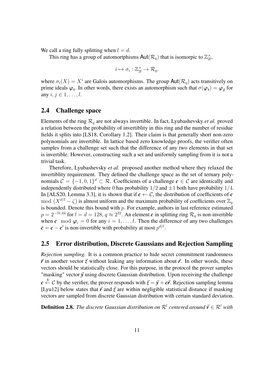We call a ring fully splitting when  $l = d$ .

This ring has a group of automortphisms  $\textsf{Aut}(\mathcal{R}_q)$  that is isomorpic to  $\mathbb{Z}_{2l}^{\times}$  $_{2l}^{\times},$ 

$$
i \mapsto \sigma_i : \mathbb{Z}_{2l}^{\times} \to \mathcal{R}_q,
$$

where  $\sigma_i(X) = X^i$  are Galois automorphisms. The group  $\text{Aut}(\mathcal{R}_q)$  acts transitively on prime ideals  $\varphi_i$ . In other words, there exists an automorphism such that  $\sigma(\varphi_i) = \varphi_j$  for any  $i, j \in 1, \ldots, l$ .

#### <span id="page-10-0"></span>2.4 Challenge space

Elements of the ring  $\mathcal{R}_q$  are not always invertible. In fact, Lyubashevsky *et al.* proved a relation between the probability of invertiblity in this ring and the number of residue fields it splits into [\[LS18,](#page-44-2) Corollary 1.2]. Their claim is that generally short non-zero polynomials are invertible. In lattice based zero knowledge proofs, the verifier often samples from a challenge set such that the difference of any two elements in that set is invertible. However, constructing such a set and uniformly sampling from it is not a trivial task.

Therefore, Lyubashevsky *et al.* proposed another method where they relaxed the invertiblity requirement. They defined the challenge space as the set of ternary polynomials  $C = \{-1, 0, 1\}$ <sup>d</sup> ⊂ R. Coefficients of a challenge  $c \in C$  are identically and independently distributed where 0 has probability  $1/2$  and  $\pm 1$  both have probability  $1/4$ . In [\[ALS20,](#page-42-4) Lemma 3.3], it is shown that if  $c \leftarrow c$ , the distribution of coefficients of *c* mod  $(X^{d/l} - \zeta)$  is almost uniform and the maximum probability of coefficients over  $\mathbb{Z}_q$ is bounded. Denote this bound with  $p$ . For example, authors in last reference estimated  $p = 2^{-31.44}$  for  $l = d = 128$ ,  $q \approx 2^{32}$ . An element *c* in splitting ring  $\mathcal{R}_q$  is non-invertible when *c* mod  $\varphi_i = 0$  for any  $i = 1, \ldots, l$ . Then the difference of any two challenges  $\bar{c} = c - c'$  is non-invertible with probability at most  $p^{d/l}$ .

#### <span id="page-10-1"></span>2.5 Error distribution, Discrete Gaussians and Rejection Sampling

*Rejection sampling.* It is a common practice to hide secret commitment randomness  $\vec{r}$  in another vector  $\vec{z}$  without leaking any information about  $\vec{r}$ . In other words, these vectors should be statistically close. For this purpose, in the protocol the prover samples "masking" vector  $\vec{y}$  using discrete Gaussian distribution. Upon receiving the challenge  $c \stackrel{\$}{\leftarrow} C$  by the verifier, the prover responds with  $\vec{z} = \vec{y} + c\vec{r}$ . Rejection sampling lemma [\[Lyu12\]](#page-44-3) below states that  $\vec{r}$  and  $\vec{z}$  are within negligible statistical distance if masking vectors are sampled from discrete Gaussian distribution with certain standard deviation.

**Definition 2.8.** The discrete Gaussian distribution on  $\mathcal{R}^l$  centered around  $\vec{v} \in \mathcal{R}^l$  with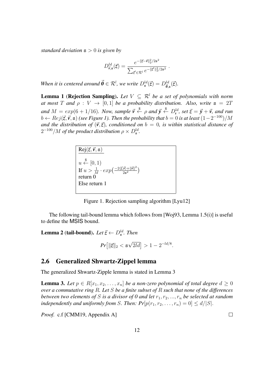*standard deviation* s > 0 *is given by*

$$
D_{\vec{v},\mathbf{s}}^{ld}(\vec{z}) = \frac{e^{-\|\vec{z}-\vec{v}\|_2^2/2\mathbf{s}^2}}{\sum_{\vec{z}'\in\mathcal{R}^l}e^{-\|\vec{z}'\|_2^2/2\mathbf{s}^2}}.
$$

When it is centered around  $\vec{\theta} \in \mathcal{R}^l$ , we write  $D_{\mathbf{s}}^{ld}(\vec{z}) = D_{\vec{\theta},\mathbf{s}}^{ld}(\vec{z})$ .

**Lemma 1 (Rejection Sampling).** Let  $V \subseteq \mathbb{R}^l$  be a set of polynomials with norm *at most* T *and*  $\rho: V \to [0, 1]$  *be a probability distribution. Also, write*  $s = 2T$  $and M = exp(6 + 1/16)$ . Now, sample  $\vec{v} \stackrel{\$}{\leftarrow} \rho$  and  $\vec{y} \stackrel{\$}{\leftarrow} D_s^{ld}$ , set  $\vec{z} = \vec{y} + \vec{v}$ , and run  $b \leftarrow Rej(\vec{z}, \vec{v}, \mathbf{s})$  (see Figure [1\)](#page-11-1). Then the probability that  $b = 0$  is at least  $(1 - 2^{-100})/M$ *and the distribution of*  $(\vec{v}, \vec{z})$ *, conditioned on*  $b = 0$ *, is within statistical distance of*  $2^{-100}/M$  of the product distribution  $\rho \times D_{\rm s}^{ld}$ .

<span id="page-11-1"></span>

Figure 1. Rejection sampling algorithm [\[Lyu12\]](#page-44-3)

The following tail-bound lemma which follows from [\[Woj93,](#page-45-4) Lemma 1.5(i)] is useful to define the MSIS bound.

<span id="page-11-3"></span>**Lemma 2 (tail-bound).** Let  $\vec{z} \leftarrow D_s^{ld}$ . Then

$$
Pr[||\vec{z}||_2 < \mathbf{s}\sqrt{2ld}] > 1 - 2^{-ld/8}.
$$

#### <span id="page-11-0"></span>2.6 Generalized Shwartz-Zippel lemma

The generalized Shwartz-Zipple lemma is stated in Lemma [3](#page-11-2)

<span id="page-11-2"></span>**Lemma 3.** Let  $p \in R[x_1, x_2, \ldots, x_n]$  be a non-zero polynomial of total degree  $d \geq 0$ *over a commutative ring* R*. Let* S *be a finite subset of* R *such that none of the differences between two elements of* S *is a divisor of* 0 and let  $r_1, r_2, ..., r_n$  *be selected at random independently and uniformly from S. Then:*  $Pr[p(r_1, r_2, \ldots, r_n) = 0] \le d/|S|$ *.* 

*Proof.* c.f [\[CMM19,](#page-42-5) Appendix A]

 $\Box$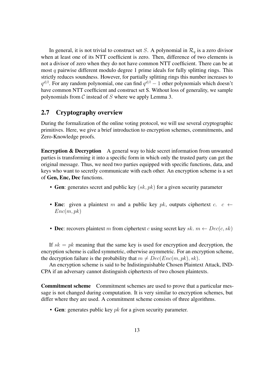In general, it is not trivial to construct set S. A polynomial in  $\mathcal{R}_q$  is a zero divisor when at least one of its NTT coefficient is zero. Then, difference of two elements is not a divisor of zero when they do not have common NTT coefficient. There can be at most  $q$  pairwise different modulo degree 1 prime ideals for fully splitting rings. This strictly reduces soundness. However, for partially splitting rings this number increases to  $q^{d/l}$ . For any random polynomial, one can find  $q^{d/l} - 1$  other polynomials which doesn't have common NTT coefficient and construct set S. Without loss of generality, we sample polynomials from  $C$  instead of  $S$  where we apply Lemma [3.](#page-11-2)

#### <span id="page-12-0"></span>2.7 Cryptography overview

During the formalization of the online voting protocol, we will use several cryptographic primitives. Here, we give a brief introduction to encryption schemes, commitments, and Zero-Knowledge proofs.

Encryption & Decryption A general way to hide secret information from unwanted parties is transforming it into a specific form in which only the trusted party can get the original message. Thus, we need two parties equipped with specific functions, data, and keys who want to secretly communicate with each other. An encryption scheme is a set of Gen, Enc, Dec functions.

- Gen: generates secret and public key  $(sk, pk)$  for a given security parameter
- Enc: given a plaintext m and a public key pk, outputs ciphertext c. c  $\leftarrow$  $Enc(m, pk)$
- Dec: recovers plaintext m from ciphertext c using secret key sk.  $m \leftarrow Dec(c, sk)$

If  $sk = pk$  meaning that the same key is used for encryption and decryption, the encryption scheme is called symmetric, otherwise asymmetric. For an encryption scheme, the decryption failure is the probability that  $m \neq Dec(Enc(m, pk), sk)$ .

An encryption scheme is said to be Indistinguishable Chosen Plaintext Attack, IND-CPA if an adversary cannot distinguish ciphertexts of two chosen plaintexts.

Commitment scheme Commitment schemes are used to prove that a particular message is not changed during computation. It is very similar to encryption schemes, but differ where they are used. A commitment scheme consists of three algorithms.

• Gen: generates public key  $pk$  for a given security parameter.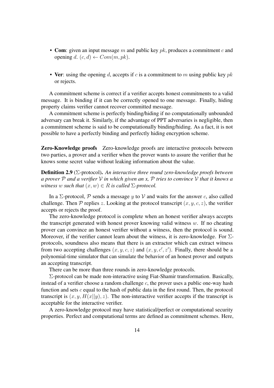- Com: given an input message  $m$  and public key  $pk$ , produces a commitment  $c$  and opening  $d$ .  $(c, d) \leftarrow Com(m, pk)$ .
- Ver: using the opening d, accepts if c is a commitment to m using public key  $pk$ or rejects.

A commitment scheme is correct if a verifier accepts honest commitments to a valid message. It is binding if it can be correctly opened to one message. Finally, hiding property claims verifier cannot recover committed message.

A commitment scheme is perfectly binding/hiding if no computationally unbounded adversary can break it. Similarly, if the advantage of PPT adversaries is negligible, then a commitment scheme is said to be computationally binding/hiding. As a fact, it is not possible to have a perfectly binding and perfectly hiding encryption scheme.

Zero-Knowledge proofs Zero-knowledge proofs are interactive protocols between two parties, a prover and a verifier when the prover wants to assure the verifier that he knows some secret value without leaking information about the value.

Definition 2.9 (Σ-protocol). *An interactive three round zero-knowledge proofs between a prover* P *and a verifier* V *in which given an x,* P *tries to convince* V *that it knows a witness* w *such that*  $(x, w) \in R$  *is called*  $\Sigma$ -protocol.

In a  $\Sigma$ -protocol, P sends a message y to V and waits for the answer c, also called challenge. Then  $P$  replies z. Looking at the protocol transcript  $(x, y, c, z)$ , the verifier accepts or rejects the proof.

The zero-knowledge protocol is complete when an honest verifier always accepts the transcript generated with honest prover knowing valid witness  $w$ . If no cheating prover can convince an honest verifier without a witness, then the protocol is sound. Moreover, if the verifier cannot learn about the witness, it is zero-knowledge. For  $\Sigma$ protocols, soundness also means that there is an extractor which can extract witness from two accepting challenges  $(x, y, c, z)$  and  $(x, y, c', z')$ . Finally, there should be a polynomial-time simulator that can simulate the behavior of an honest prover and outputs an accepting transcript.

There can be more than three rounds in zero-knowledge protocols.

Σ-protocol can be made non-interactive using Fiat-Shamir transformation. Basically, instead of a verifier choose a random challenge  $c$ , the prover uses a public one-way hash function and sets  $c$  equal to the hash of public data in the first round. Then, the protocol transcript is  $(x, y, H(x||y), z)$ . The non-interactive verifier accepts if the transcript is acceptable for the interactive verifier.

A zero-knowledge protocol may have statistical/perfect or computational security properties. Perfect and computational terms are defined as commitment schemes. Here,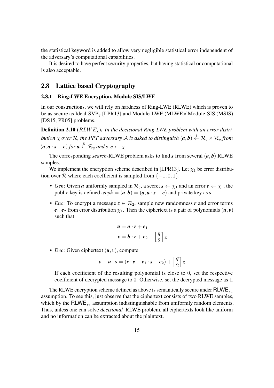the statistical keyword is added to allow very negligible statistical error independent of the adversary's computational capabilities.

It is desired to have perfect security properties, but having statistical or computational is also acceptable.

#### <span id="page-14-0"></span>2.8 Lattice based Cryptography

#### <span id="page-14-1"></span>2.8.1 Ring-LWE Encryption, Module SIS/LWE

In our constructions, we will rely on hardness of Ring-LWE (RLWE) which is proven to be as secure as Ideal-SVP<sub> $<sub>γ</sub>$  [\[LPR13\]](#page-44-4) and Module-LWE (MLWE)/ Module-SIS (MSIS)</sub></sub> [\[DS15,](#page-43-2) [PR05\]](#page-45-5) problems.

<span id="page-14-2"></span>**Definition 2.10** (RLWE<sub>x</sub>). In the decisional Ring-LWE problem with an error distri*bution*  $\chi$  *over*  $R$ *, the PPT adversary*  $\cal A$  *is asked to distinguish*  $(a,b) \overset{\$}{\leftarrow} R_q \times R_q$  *from*  $(a, a \cdot s + e)$  for  $a \stackrel{\$}{\leftarrow} \mathcal{R}_q$  and  $s, e \leftarrow \chi$ .

The corresponding *search*-RLWE problem asks to find *s* from several (*a*, *b*) RLWE samples.

We implement the encryption scheme described in [\[LPR13\]](#page-44-4). Let  $\chi_1$  be error distribution over  $\mathcal R$  where each coefficient is sampled from  $\{-1, 0, 1\}$ .

- *Gen*: Given *a* uniformly sampled in  $\mathcal{R}_q$ , a secret  $s \leftarrow \chi_1$  and an error  $e \leftarrow \chi_1$ , the public key is defined as  $pk = (a, b) = (a, a \cdot s + e)$  and private key as *s*.
- *Enc*: To encrypt a message  $z \in \mathcal{R}_2$ , sample new randomness *r* and error terms  $e_1, e_2$  from error distribution  $\chi_1$ . Then the ciphertext is a pair of polynomials  $(u, v)$ such that

$$
u = a \cdot r + e_1 ,
$$
  

$$
v = b \cdot r + e_2 + \left\lfloor \frac{q}{2} \right\rceil z .
$$

• *Dec*: Given ciphertext (*u*, *v*), compute

$$
\mathbf{v}-\mathbf{u}\cdot\mathbf{s}=(\mathbf{r}\cdot\mathbf{e}-\mathbf{e}_1\cdot\mathbf{s}+\mathbf{e}_2)+\left\lfloor \frac{q}{2}\right\rceil z.
$$

If each coefficient of the resulting polynomial is close to 0, set the respective coefficient of decrypted message to 0. Otherwise, set the decrypted message as 1.

The RLWE encryption scheme defined as above is semantically secure under  $RLWE_{\chi_1}$ assumption. To see this, just observe that the ciphertext consists of two RLWE samples, which by the  $RLWE_{\chi_1}$  assumption indistinguishable from uniformly random elements. Thus, unless one can solve *decisional* RLWE problem, all ciphertexts look like uniform and no information can be extracted about the plaintext.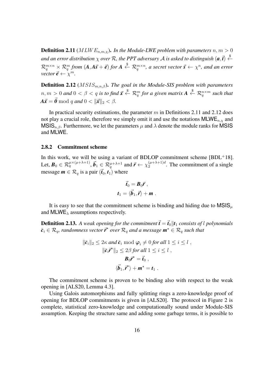<span id="page-15-1"></span>**Definition 2.11** ( $MLWE_{n,m,\chi}$ ). *In the Module-LWE problem with parameters*  $n, m > 0$ and an error distribution  $\chi$  over  $\mathcal R$ , the PPT adversary  $\mathcal A$  is asked to distinguish  $(\bm a, \vec{\bm t}) \stackrel{\$}{\leftarrow}$  $\mathcal{R}^{m\times n}_q\times\mathcal{R}^m_q$  from  $(A,A\vec{s}+\vec{e})$  for  $A\overset{\$}{\leftarrow}\mathcal{R}^{m\times n}_q$ , a secret vector  $\vec{s}\leftarrow\chi^n$ , and an error *vector*  $\vec{e} \leftarrow \chi^m$ .

<span id="page-15-2"></span>Definition 2.12 (*MSIS<sub>m,n,β</sub>*). *The goal in the Module-SIS problem with parameters*  $n,m>0$  and  $0<\beta< q$  is to find  $\vec{x}\stackrel{\$}{\leftarrow}\mathcal{R}^m_q$  for a given matrix  $A\stackrel{\$}{\leftarrow}\mathcal{R}^{n\times m}_q$  such that  $A\vec{x} = \vec{0} \bmod q$  and  $0 < ||\vec{x}||_2 < \beta$ .

In practical security estimations, the parameter  $m$  in Definitions [2.11](#page-15-1) and [2.12](#page-15-2) does not play a crucial role, therefore we simply omit it and use the notations  $MLWE_{n,v}$  and MSIS<sub>n,β</sub>. Furthermore, we let the parameters  $\mu$  and  $\lambda$  denote the module ranks for MSIS and MLWE.

#### <span id="page-15-0"></span>2.8.2 Commitment scheme

In this work, we will be using a variant of BDLOP commitment scheme  $[BDL+18]$  $[BDL+18]$ . Let,  $\bm{B}_0 \in \mathcal{R}_q^{\mu \times (\mu + \lambda + 1)}, \vec{\bm{b}}_1 \in \mathcal{R}_q^{\mu + \lambda + 1}$  and  $\vec{\bm{r}} \leftarrow \chi_2^{(\mu + \lambda + 1)d}$  $\frac{(\mu + \lambda + 1)a}{2}$ . The commitment of a single message  $m \in \mathcal{R}_q$  is a pair  $(\vec{t}_0, t_1)$  where

$$
\vec{t}_0 = \mathbf{B}_0 \vec{r},
$$
  

$$
t_1 = \langle \vec{b}_1, \vec{r} \rangle + \mathbf{m}.
$$

It is easy to see that the commitment scheme is binding and hiding due to  $MSIS<sub>µ</sub>$ and MLWE<sub> $\lambda$ </sub> assumptions respectively.

**Definition 2.13.** A weak opening for the commitment  $\vec{t} = \vec{t}_0 || t_1$  consists of l polynomials  $\bar{\pmb{c}}_i \in \mathcal{R}_q$ , randomness vector  $\vec{r}^\star$  over  $\mathcal{R}_q$  and a message  $\pmb{m}^\star \in \mathcal{R}_q$  such that

$$
\|\bar{c}_i\|_2 \le 2\kappa \text{ and } \bar{c}_i \text{ mod } \varphi_i \ne 0 \text{ for all } 1 \le i \le l ,
$$
  

$$
\|\bar{c}_i \vec{r}^* \|_2 \le 2\beta \text{ for all } 1 \le i \le l ,
$$
  

$$
\mathcal{B}_0 \vec{r}^* = \vec{t}_0 ,
$$
  

$$
\langle \vec{b}_1, \vec{r}^* \rangle + \mathbf{m}^* = t_1 .
$$

The commitment scheme is proven to be binding also with respect to the weak opening in [\[ALS20,](#page-42-4) Lemma 4.3].

Using Galois automorphisms and fully splitting rings a zero-knowledge proof of opening for BDLOP commitments is given in [\[ALS20\]](#page-42-4). The protocol in Figure [2](#page-16-0) is complete, statistical zero-knowledge and computationally sound under Module-SIS assumption. Keeping the structure same and adding some garbage terms, it is possible to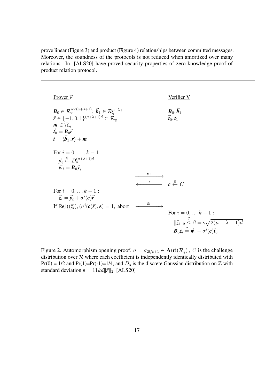prove linear (Figure [3\)](#page-17-0) and product (Figure [4\)](#page-18-0) relationships between committed messages. Moreover, the soundness of the protocols is not reduced when amortized over many relations. In [\[ALS20\]](#page-42-4) have proved security properties of zero-knowledge proof of product relation protocol.

<span id="page-16-0"></span>

| Prover $P$                                                                                                                                                                                                                   |                           | Verifier V                                                                                                                                                                                 |
|------------------------------------------------------------------------------------------------------------------------------------------------------------------------------------------------------------------------------|---------------------------|--------------------------------------------------------------------------------------------------------------------------------------------------------------------------------------------|
| $\boldsymbol{B}_0 \in \mathcal{R}_q^{\mu \times (\mu+\lambda+1)}$ ; $\vec{\boldsymbol{b}}_1 \in \mathcal{R}_q^{\mu+\lambda+1}$<br>$\vec{r} \in \{-1,0,1\}^{(\mu+\lambda+1)d} \subset \mathcal{R}_q$<br>$m \in \mathcal{R}_a$ |                           | $\bm{B}_0, \vec{\bm{b}}_1$<br>$\vec{t}_0, t_1$                                                                                                                                             |
| $\vec{t}_0 = B_0 \vec{r}$                                                                                                                                                                                                    |                           |                                                                                                                                                                                            |
| $t = \langle \vec{b}_1, \vec{r} \rangle + m$                                                                                                                                                                                 |                           |                                                                                                                                                                                            |
| For $i = 0, , k - 1$ :<br>$\vec{v}_i \leftarrow \frac{\$}{\text{cos}} D_{\text{s}}^{(\mu+\lambda+1)d}$<br>$\vec{w}_i = \vec{B}_0 \vec{y}_i$                                                                                  | $\xrightarrow{\vec{w}_i}$ | $\frac{c}{c}$ $c \stackrel{\$}{\leftarrow} C$                                                                                                                                              |
| For $i = 0, \ldots k - 1$ :<br>$\vec{z}_i = \vec{y}_i + \sigma^i(c)\vec{r}$<br>If Rej $((\vec{z}_i), (\sigma^i(\mathbf{c})\vec{r}), \mathbf{s}) = 1$ , abort                                                                 | $\overrightarrow{z_i}$    |                                                                                                                                                                                            |
|                                                                                                                                                                                                                              |                           | For $i = 0, \ldots k - 1$ :<br>$\ \vec{z_i}\ _2 \leq \beta = s\sqrt{2(\mu + \lambda + 1)d}$<br>$\boldsymbol{B}_0 \vec{z}_i \stackrel{?}{=} \vec{w}_i + \sigma^i(\boldsymbol{c}) \vec{t}_0$ |

Figure 2. Automorphism opening proof.  $\sigma = \sigma_{2l/k+1} \in \text{Aut}(\mathcal{R}_q)$ , C is the challenge distribution over  $R$  where each coefficient is independently identically distributed with Pr(0) = 1/2 and Pr(1)=Pr(-1)=1/4, and  $D_s$  is the discrete Gaussian distribution on  $\mathbb Z$  with standard deviation  $\mathbf{s} = 11kd \|\vec{r}\|_2$  [\[ALS20\]](#page-42-4)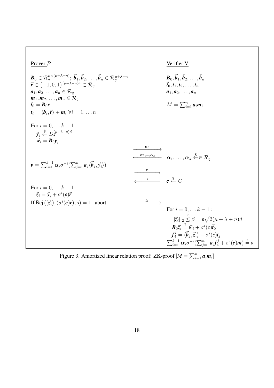<span id="page-17-0"></span>

Figure 3. Amortized linear relation proof: ZK-proof  $[M = \sum_{i=1}^{n} a_i m_i]$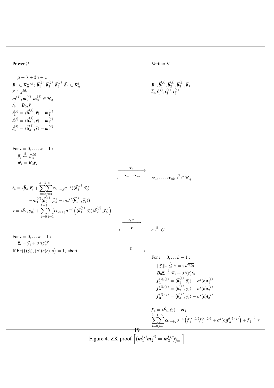$\vec{t}_0 = B_0, \vec{r}$  $\textbf{\textit{t}}^{(j)}_1 = \langle \vec{\textbf{b}}^{(j)}_1 \rangle$ 

 $\textit{\textbf{t}}_{2}^{(j)} = \langle \vec{\textbf{b}}_{2}^{(j)}$ 

 $\textit{\textbf{t}}_{3}^{(j)}=\langle \vec{\textbf{b}}_{3}^{(j)}$ 

 $=\mu + \lambda + 3n + 1$  $\boldsymbol{B}_0 \in \mathcal{R}_q^{\mu \times l};~ \vec{\boldsymbol{b}}_1^{(j)}$ 

 $\textit{m}^{(j)}_1, \textit{m}^{(j)}_2, \textit{m}^{(j)}_3 \in \mathcal{R}_q$ 

 $\bm{j}_1^{(j)}, \vec{\bm{b}}_2^{(j)}$  $\bar{\bm{b}}^{(j)}_2, \bar{\bm{b}}^{(j)}_3$ 

 $\langle 1^{(j)}, \vec{r} \rangle + m_1^{(j)}$ 

 $\langle 2^{(j)}, \vec{r} \rangle + m_2^{(j)}$ 

 $\langle J^{(j)}_3, \vec{r} \rangle + m_3^{(j)}$ 

 $\bm{b}^{(j)}_3, \vec{\bm{b}}_4 \in \mathcal{R}^l_q$ 

<span id="page-18-0"></span>Prover P Verifier V

$$
B_0 \in \mathcal{R}_q^{\mu \times l}; \ \vec{b}_1^{(j)}, \vec{b}_2^{(j)}, \vec{b}_3^{(j)}, \vec{b}_4 \in \mathcal{R}_q^l \hspace{2cm} B_0, \vec{b}_1^{(j)}, \vec{b}_2^{(j)}, \vec{b}_3^{(j)}, \vec{b}_4 \notag \\ \vec{r} \in \chi^{ld}; \hspace{2cm} \vec{b}_0, t_1^{(j)}, t_2^{(j)}, t_3^{(j)} \in \mathcal{R}_q^l
$$

For 
$$
i = 0, ..., k - 1
$$
:  
\n
$$
\vec{y}_i \stackrel{\$}{\leftarrow} D_{\mathbf{s}}^{ld}
$$
\n
$$
\vec{w}_i = B_0 \vec{y}_i
$$

$$
t_{4} = \langle \vec{b}_{4}, \vec{r} \rangle + \sum_{i=0}^{k-1} \sum_{j=1}^{n} \alpha_{in+j} \sigma^{-i} (\langle \vec{b}_{3}^{(j)}, \vec{y}_{i} \rangle - \frac{\alpha_{1}, \dots, \alpha_{nk}}{\sum_{i=0}^{k-1} \sum_{j=1}^{n} \alpha_{in+j} \sigma^{-i} (\langle \vec{b}_{3}^{(j)}, \vec{y}_{i} \rangle)} - m_{1}^{(j)} \langle \vec{b}_{2}^{(j)}, \vec{y}_{i} \rangle) \n\qquad\ny = \langle \vec{b}_{4}, \vec{y}_{0} \rangle + \sum_{i=0}^{k-1} \sum_{j=1}^{n} \alpha_{in+j} \sigma^{-i} (\langle \vec{b}_{1}^{(j)}, \vec{y}_{i} \rangle \langle \vec{b}_{2}^{(j)}, \vec{y}_{i} \rangle) - \frac{\alpha_{1} \cdot \alpha_{1} \cdot \alpha_{1} \cdot \alpha_{1} \cdot \alpha_{1} \cdot \alpha_{1} \cdot \alpha_{1} \cdot \alpha_{1} \cdot \alpha_{1} \cdot \alpha_{1} \cdot \alpha_{1} \cdot \alpha_{1} \cdot \alpha_{1} \cdot \alpha_{1} \cdot \alpha_{1} \cdot \alpha_{1} \cdot \alpha_{1} \cdot \alpha_{1} \cdot \alpha_{1} \cdot \alpha_{1} \cdot \alpha_{1} \cdot \alpha_{1} \cdot \alpha_{1} \cdot \alpha_{1} \cdot \alpha_{1} \cdot \alpha_{1} \cdot \alpha_{1} \cdot \alpha_{1} \cdot \alpha_{1} \cdot \alpha_{1} \cdot \alpha_{1} \cdot \alpha_{1} \cdot \alpha_{1} \cdot \alpha_{1} \cdot \alpha_{1} \cdot \alpha_{1} \cdot \alpha_{1} \cdot \alpha_{1} \cdot \alpha_{1} \cdot \alpha_{1} \cdot \alpha_{1} \cdot \alpha_{1} \cdot \alpha_{1} \cdot \alpha_{1} \cdot \alpha_{1} \cdot \alpha_{1} \cdot \alpha_{1} \cdot \alpha_{1} \cdot \alpha_{1} \cdot \alpha_{1} \cdot \alpha_{1} \cdot \alpha_{1} \cdot \alpha_{1} \cdot \alpha_{1} \cdot \alpha_{1} \cdot \alpha_{1} \cdot \alpha_{1} \cdot \alpha_{1} \cdot \alpha_{1} \cdot \alpha_{1} \cdot \alpha_{1} \cdot \alpha_{1} \cdot \alpha_{1} \cdot \alpha_{1} \cdot \alpha_{1} \cdot \alpha_{1} \cdot \alpha_{1} \cdot \
$$

 $\vec{w}_i$  →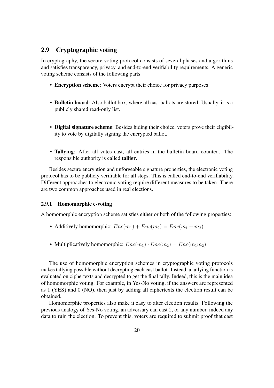### <span id="page-19-0"></span>2.9 Cryptographic voting

In cryptography, the secure voting protocol consists of several phases and algorithms and satisfies transparency, privacy, and end-to-end verifiability requirements. A generic voting scheme consists of the following parts.

- Encryption scheme: Voters encrypt their choice for privacy purposes
- Bulletin board: Also ballot box, where all cast ballots are stored. Usually, it is a publicly shared read-only list.
- Digital signature scheme: Besides hiding their choice, voters prove their eligibility to vote by digitally signing the encrypted ballot.
- Tallying: After all votes cast, all entries in the bulletin board counted. The responsible authority is called tallier.

Besides secure encryption and unforgeable signature properties, the electronic voting protocol has to be publicly verifiable for all steps. This is called end-to-end verifiability. Different approaches to electronic voting require different measures to be taken. There are two common approaches used in real elections.

#### <span id="page-19-1"></span>2.9.1 Homomorphic e-voting

A homomorphic encryption scheme satisfies either or both of the following properties:

- Additively homomorphic:  $Enc(m_1) + Enc(m_2) = Enc(m_1 + m_2)$
- Multiplicatively homomorphic:  $Enc(m_1) \cdot Enc(m_2) = Enc(m_1m_2)$

The use of homomorphic encryption schemes in cryptographic voting protocols makes tallying possible without decrypting each cast ballot. Instead, a tallying function is evaluated on ciphertexts and decrypted to get the final tally. Indeed, this is the main idea of homomorphic voting. For example, in Yes-No voting, if the answers are represented as 1 (YES) and 0 (NO), then just by adding all ciphertexts the election result can be obtained.

Homomorphic properties also make it easy to alter election results. Following the previous analogy of Yes-No voting, an adversary can cast 2, or any number, indeed any data to ruin the election. To prevent this, voters are required to submit proof that cast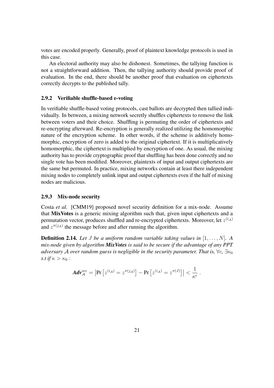votes are encoded properly. Generally, proof of plaintext knowledge protocols is used in this case.

An electoral authority may also be dishonest. Sometimes, the tallying function is not a straightforward addition. Then, the tallying authority should provide proof of evaluation. In the end, there should be another proof that evaluation on ciphertexts correctly decrypts to the published tally.

#### <span id="page-20-0"></span>2.9.2 Verifiable shuffle-based e-voting

In verifiable shuffle-based voting protocols, cast ballots are decrypted then tallied individually. In between, a mixing network secretly shuffles ciphertexts to remove the link between voters and their choice. Shuffling is permuting the order of ciphertexts and re-encrypting afterward. Re-encryption is generally realized utilizing the homomorphic nature of the encryption scheme. In other words, if the scheme is additively homomorphic, encryption of zero is added to the original ciphertext. If it is multiplicatively homomorphic, the ciphertext is multiplied by encryption of one. As usual, the mixing authority has to provide cryptographic proof that shuffling has been done correctly and no single vote has been modified. Moreover, plaintexts of input and output ciphertexts are the same but permuted. In practice, mixing networks contain at least there independent mixing nodes to completely unlink input and output ciphertexts even if the half of mixing nodes are malicious.

#### <span id="page-20-1"></span>2.9.3 Mix-node security

Costa *et al.* [\[CMM19\]](#page-42-5) proposed novel security definition for a mix-node. Assume that MixVotes is a generic mixing algorithm such that, given input ciphertexts and a permutation vector, produces shuffled and re-encrypted ciphertexts. Moreover, let  $z^{(i_A)}$ and  $z^{\pi(j_A)}$  the message before and after running the algorithm.

Definition 2.14. *Let* J *be a uniform random variable taking values in* [1, . . . , N]*. A mix-node given by algorithm MixVotes is said to be secure if the advantage of any PPT adversary* A *over random guess is negligible in the security parameter. That is,*  $\forall c$ ,  $\exists \kappa_0$ *s.t if*  $\kappa > \kappa_0$ :

$$
Adv_{\mathcal{A}}^{sec} = \left| \Pr \left[ z^{(i_{\mathcal{A}})} = z^{\pi(j_{\mathcal{A}})} \right] - \Pr \left[ z^{(i_{\mathcal{A}})} = z^{\pi(J)} \right] \right| < \frac{1}{\kappa^{c}}.
$$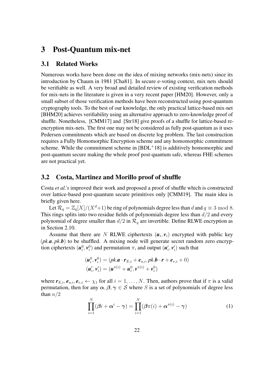# <span id="page-21-0"></span>3 Post-Quantum mix-net

### <span id="page-21-1"></span>3.1 Related Works

Numerous works have been done on the idea of mixing networks (mix-nets) since its introduction by Chaum in 1981 [\[Cha81\]](#page-42-0). In secure e-voting context, mix nets should be verifiable as well. A very broad and detailed review of existing verification methods for mix-nets in the literature is given in a very recent paper [\[HM20\]](#page-44-5). However, only a small subset of those verification methods have been reconstructed using post-quantum cryptography tools. To the best of our knowledge, the only practical lattice-based mix-net [\[BHM20\]](#page-42-7) achieves verifiability using an alternative approach to zero-knowledge proof of shuffle. Nonetheless, [\[CMM17\]](#page-42-1) and [\[Str18\]](#page-45-6) give proofs of a shuffle for lattice-based reencryption mix-nets. The first one may not be considered as fully post-quantum as it uses Pedersen commitments which are based on discrete log problem. The last construction requires a Fully Homomorphic Encryption scheme and any homomorphic commitment scheme. While the commitment scheme in  $[BDL+18]$  $[BDL+18]$  is additively homomorphic and post-quantum secure making the whole proof post-quantum safe, whereas FHE schemes are not practical yet.

#### <span id="page-21-2"></span>3.2 Costa, Martinez and Morillo proof of shuffle

Costa *et al.'s* improved their work and proposed a proof of shuffle which is constructed over lattice-based post-quantum secure primitives only [\[CMM19\]](#page-42-5). The main idea is briefly given here.

Let  $\mathcal{R}_q = \mathbb{Z}_q[X]/(X^d+1)$  be ring of polynomials degree less than d and  $q \equiv 3 \mod 8$ . This rings splits into two residue fields of polynomials degree less than  $d/2$  and every polynomial of degree smaller than  $d/2$  in  $\mathcal{R}_q$  are invertible. Define RLWE encryption as in Section [2.10.](#page-14-2)

Assume that there are N RLWE ciphertexts  $(u_i, v_i)$  encrypted with public key  $(pk.a, pk.b)$  to be shuffled. A mixing node will generate secret random zero encryption ciphertexts  $(u_i^0, v_i^0)$  and permutation  $\pi$ , and output  $(u_i', v_i')$  such that

$$
(\boldsymbol{u}_i^0, \boldsymbol{v}_i^0) = (pk \boldsymbol{a} \cdot \boldsymbol{r}_{E,i} + \boldsymbol{e}_{u,i}, pk \boldsymbol{b} \cdot \boldsymbol{r} + \boldsymbol{e}_{v,i} + 0)
$$

$$
(\boldsymbol{u}_i', \boldsymbol{v}_i') = (\boldsymbol{u}^{\pi(i)} + \boldsymbol{u}_i^0, \boldsymbol{v}^{\pi(i)} + \boldsymbol{v}_i^0)
$$

where  $r_{E,i}, e_{u,i}, e_{v,i} \leftarrow \chi_1$  for all  $i = 1, \ldots, N$ . Then, authors prove that if  $\pi$  is a valid permutation, then for any  $\alpha, \beta, \gamma \in S$  where S is a set of polynomials of degree less than  $n/2$ 

<span id="page-21-3"></span>
$$
\prod_{i=1}^{N}(\beta i + \alpha^{i} - \gamma) = \prod_{i=1}^{N}(\beta \pi(i) + \alpha^{\pi(i)} - \gamma)
$$
\n(1)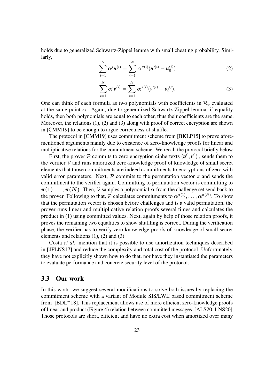holds due to generalized Schwartz-Zippel lemma with small cheating probability. Similarly,

<span id="page-22-1"></span>
$$
\sum_{i=1}^{N} \alpha^{i} u^{(i)} = \sum_{i=1}^{N} \alpha^{\pi(i)} (u^{\prime(i)} - u_0^{(i)})
$$
(2)

<span id="page-22-2"></span>
$$
\sum_{i=1}^{N} \alpha^{i} \nu^{(i)} = \sum_{i=1}^{N} \alpha^{\pi(i)} (\nu'^{(i)} - \nu_0^{(i)}).
$$
 (3)

One can think of each formula as two polynomials with coefficients in  $\mathcal{R}_{q}$  evaluated at the same point  $\alpha$ . Again, due to generalized Schwartz-Zippel lemma, if equality holds, then both polynomials are equal to each other, thus their coefficients are the same. Moreover, the relations [\(1\)](#page-21-3), [\(2\)](#page-22-1) and [\(3\)](#page-22-2) along with proof of correct encryption are shown in [\[CMM19\]](#page-42-5) to be enough to argue correctness of shuffle.

The protocol in [\[CMM19\]](#page-42-5) uses commitment scheme from [\[BKLP15\]](#page-42-8) to prove aforementioned arguments mainly due to existence of zero-knowledge proofs for linear and multiplicative relations for the commitment scheme. We recall the protocol briefly below.

First, the prover P commits to zero encryption ciphertexts  $(u_i^0, v_i^0)$  , sends them to the verifier  $V$  and runs amortized zero-knowledge proof of knowledge of small secret elements that those commitments are indeed commitments to encryptions of zero with valid error parameters. Next,  $\mathcal P$  commits to the permutation vector  $\pi$  and sends the commitment to the verifier again. Committing to permutation vector is committing to  $\pi(1), \ldots, \pi(N)$ . Then, V samples a polynomial  $\alpha$  from the challenge set send back to the prover. Following to that, P calculates commitments to  $\alpha^{\pi(1)}, \dots, \alpha^{\pi(N)}$ . To show that the permutation vector is chosen before challenges and is a valid permutation, the prover runs linear and multiplicative relation proofs several times and calculates the product in [\(1\)](#page-21-3) using committed values. Next, again by help of those relation proofs, it proves the remaining two equalities to show shuffling is correct. During the verification phase, the verifier has to verify zero knowledge proofs of knowledge of small secret elements and relations [\(1\)](#page-21-3), [\(2\)](#page-22-1) and [\(3\)](#page-22-2).

Costa *et al.* mention that it is possible to use amortization techniques described in [\[dPLNS17\]](#page-43-3) and reduce the complexity and total cost of the protocol. Unfortunately, they have not explicitly shown how to do that, nor have they instantiated the parameters to evaluate performance and concrete security level of the protocol.

#### <span id="page-22-0"></span>3.3 Our work

In this work, we suggest several modifications to solve both issues by replacing the commitment scheme with a variant of Module SIS/LWE based commitment scheme from  $[BDL+18]$  $[BDL+18]$ . This replacement allows use of more efficient zero-knowledge proofs of linear and product (Figure [4\)](#page-18-0) relation between committed messages [\[ALS20,](#page-42-4) [LNS20\]](#page-44-6). Those protocols are short, efficient and have no extra cost when amortized over many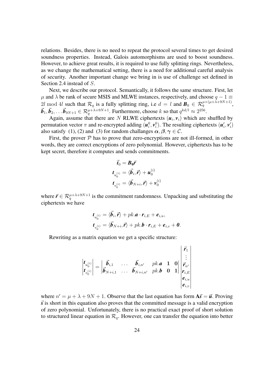relations. Besides, there is no need to repeat the protocol several times to get desired soundness properties. Instead, Galois automorphisms are used to boost soundness. However, to achieve great results, it is required to use fully splitting rings. Nevertheless, as we change the mathematical setting, there is a need for additional careful analysis of security. Another important change we bring in is use of challenge set defined in Section [2.4](#page-10-0) instead of S.

Next, we describe our protocol. Semantically, it follows the same structure. First, let  $\mu$  and  $\lambda$  be rank of secure MSIS and MLWE instances, respectively, and choose  $q - 1 \equiv$ 2l mod 4l such that  $\mathcal{R}_q$  is a fully splitting ring, i.e  $d = l$  and  $\mathbf{B}_0 \in \mathcal{R}_q^{\mu \times (\mu + \lambda + 9N + 1)}$ ,  $\vec{b}_1, \vec{b}_2, \ldots \vec{b}_{9N+1} \in \mathcal{R}_q^{\mu+\lambda+9N+1}$ . Furthermore, choose k so that  $q^{kd/l} \approx 2^{256}$ .

Again, assume that there are N RLWE ciphertexts  $(u_i, v_i)$  which are shuffled by permutation vector  $\pi$  and re-encrypted adding  $(u_i^0, v_i^0)$ . The resulting ciphertexts  $(u'_i, v'_i)$ also satisfy [\(1\)](#page-21-3), [\(2\)](#page-22-1) and [\(3\)](#page-22-2) for random challanges  $\alpha, \beta, \gamma \in \mathcal{C}$ .

First, the prover  $P$  has to prove that zero-encryptions are not ill-formed, in other words, they are correct encryptions of zero polynomial. However, ciphertexts has to be kept secret, therefore it computes and sends commitments.

$$
\begin{aligned} \vec{\boldsymbol{t}}_0 &= \boldsymbol{B_0}\vec{\boldsymbol{r}} \\ \boldsymbol{t}_{u_0^{(i)}} &= \langle \vec{\boldsymbol{b}}_i, \vec{\boldsymbol{r}} \rangle + \boldsymbol{u}_0^{(i)} \\ \boldsymbol{t}_{v_0^{(i)}} &= \langle \vec{\boldsymbol{b}}_{N+i}, \vec{\boldsymbol{r}} \rangle + \boldsymbol{v}_0^{(i)} \end{aligned}
$$

where  $\vec{r} \in \mathcal{R}_q^{\mu+\lambda+9N+1}$  is the commitment randomness. Unpacking and substituting the ciphertexts we have

$$
t_{u_0^{(i)}} = \langle \vec{b}_i, \vec{r} \rangle + pk \cdot \mathbf{a} \cdot \mathbf{r}_{i,E} + \mathbf{e}_{i,u},
$$
  

$$
t_{v_0^{(i)}} = \langle \vec{b}_{N+i}, \vec{r} \rangle + pk \cdot \mathbf{b} \cdot \mathbf{r}_{i,E} + \mathbf{e}_{i,v} + \mathbf{0}.
$$

Rewriting as a matrix equation we get a specific structure:

$$
\begin{vmatrix} t_{u_0^{(i)}} \\ t_{v_0^{(i)}} \end{vmatrix} = \begin{vmatrix} \vec{b}_{i,1} & \dots & \vec{b}_{i,n'} & p k.a & 1 & 0 \\ \vec{b}_{N+i,1} & \dots & \vec{b}_{N+i,n'} & p k.b & 0 & 1 \end{vmatrix} \begin{vmatrix} \vec{r}_1 \\ \vec{r}_n \\ \vec{r}_{i,n} \\ \vec{e}_{i,n} \\ \vec{e}_{i,v} \end{vmatrix}
$$

where  $n' = \mu + \lambda + 9N + 1$ . Observe that the last equation has form  $A\vec{s} = \vec{u}$ . Proving  $\vec{s}$  is short in this equation also proves that the committed message is a valid encryption of zero polynomial. Unfortunately, there is no practical exact proof of short solution to structured linear equation in  $\mathcal{R}_q$ . However, one can transfer the equation into better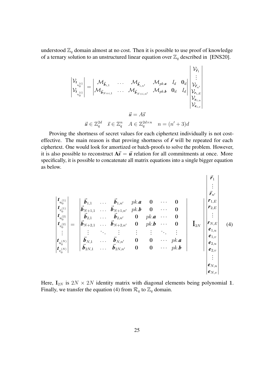understood  $\mathbb{Z}_q$  domain almost at no cost. Then it is possible to use proof of knowledge of a ternary solution to an unstructured linear equation over  $\mathbb{Z}_q$  described in [\[ENS20\]](#page-43-4).

$$
\begin{aligned}\n\begin{vmatrix}\n\mathcal{V}_{t_{u_0^{(i)}}} \\
\mathcal{V}_{t_{u_0^{(i)}}}\n\end{vmatrix} = \begin{vmatrix}\n\mathcal{M}_{\vec{b}_{i,1}} & \dots & \mathcal{M}_{\vec{b}_{i,n'}} & \mathcal{M}_{pka} & I_d & \mathbf{0}_d \\
\mathcal{M}_{\vec{b}_{N+i,1}} & \dots & \mathcal{M}_{\vec{b}_{N+i,n'}} & \mathcal{M}_{pk,b} & \mathbf{0}_d & I_d\n\end{vmatrix} \begin{vmatrix}\n\mathcal{V}_{\vec{r}_1} \\
\mathcal{V}_{\vec{r}_{n'}} \\
\mathcal{V}_{\vec{r}_{n'}} \\
\mathcal{V}_{\vec{r}_{n'}} \\
\mathcal{V}_{\vec{e}_{i,u}} \\
\mathcal{V}_{\vec{e}_{i,v}}\n\end{vmatrix} \\
\vec{u} \in \mathbb{Z}_q^{2d} & \vec{s} \in \mathbb{Z}_q^n & A \in \mathbb{Z}_q^{2d \times n} & n = (n'+3)d\n\end{aligned}
$$

 

 $\overline{\phantom{a}}$ 

Proving the shortness of secret values for each ciphertext individually is not costeffective. The main reason is that proving shortness of  $\vec{r}$  will be repeated for each ciphertext. One would look for amortized or batch-proofs to solve the problem. However, it is also possible to reconstruct  $A\vec{s} = \vec{u}$  relation for all commitments at once. More specifically, it is possible to concatenate all matrix equations into a single bigger equation as below.

<span id="page-24-0"></span>
$$
\begin{vmatrix} t_{u_0^{(1)}} \\ t_{v_0^{(1)}} \\ t_{v_0^{(2)}} \\ t_{v_0^{(2)}} \\ \vdots \\ t_{v_0^{(N)}} \\ t_{v_0^{(N)}} \end{vmatrix} = \begin{vmatrix} \vec{b}_{1,1} & \dots & \vec{b}_{1,n'} & p k.a & 0 & \dots & 0 \\ \vec{b}_{N+1,1} & \dots & \vec{b}_{N+1,n'} & p k.b & 0 & \dots & 0 \\ \vec{b}_{N+1,1} & \dots & \vec{b}_{N+1,n'} & p k.b & 0 & \dots & 0 \\ \vec{b}_{N+2,1} & \dots & \vec{b}_{N+2,n'} & 0 & p k.b & \dots & 0 \\ \vdots & \vdots & \ddots & \vdots & \vdots & \ddots & \vdots \\ \vec{b}_{N,1} & \dots & \vec{b}_{N,n'} & 0 & 0 & \dots & p k.a \\ \vec{b}_{N,1} & \dots & \vec{b}_{2N,n'} & 0 & 0 & \dots & p k.b \end{vmatrix} \begin{vmatrix} \vec{r}_{1,1} \\ \vec{r}_{2,2} \\ \vdots \\ \vec{r}_{N,k} \\ \vdots \\ \vec{c}_{N,k} \\ \vdots \\ \vec{c}_{N,k} \\ \vdots \\ \vec{c}_{N,n} \\ \vdots \\ \vec{c}_{N,n} \\ \vec{c}_{N,n} \\ \vdots \\ \vec{c}_{N,n} \\ \vec{c}_{N,n} \\ \vec{c}_{N,n} \\ \vec{c}_{N,n} \\ \vec{c}_{N,n} \\ \vec{c}_{N,n} \\ \vec{c}_{N,n} \\ \vec{c}_{N,n} \\ \vec{c}_{N,n} \\ \vec{c}_{N,n} \\ \vec{c}_{N,n} \\ \vec{c}_{N,n} \\ \vec{c}_{N,n} \\ \vec{c}_{N,n} \\ \vec{c}_{N,n} \\ \vec{c}_{N,n} \\ \vec{c}_{N,n} \\ \vec{c}_{N,n} \\ \vec{c}_{N,n} \\ \vec{c}_{N,n} \\ \vec{c}_{N,n} \\ \vec{c}_{N,n} \\ \vec{c}_{N,n} \\ \vec{c}_{N,n} \\ \vec{c}_{N,n} \\ \vec{c}_{N,n} \\ \vec{c}_{N,n} \\ \vec{c}_{N,n} \\ \vec{c}_{N,n} \\ \vec{c}_{N,n} \\ \vec{c}_{N,n} \\ \vec{c}_{N,n} \\ \vec{c}_{N,n} \\ \vec{c}_{N,n} \\ \vec{c}_{N,n} \\ \vec{
$$

Here,  $I_{2N}$  is  $2N \times 2N$  identity matrix with diagonal elements being polynomial 1. Finally, we transfer the equation [\(4\)](#page-24-0) from  $\mathcal{R}_q$  to  $\mathbb{Z}_q$  domain.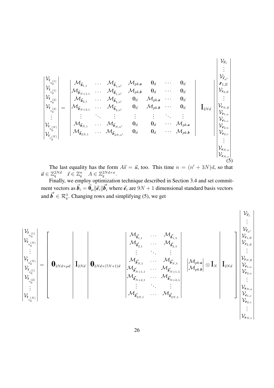<span id="page-25-0"></span>
$$
\begin{bmatrix}\nV_{t_{u_{0}^{(1)}}} \\
V_{t_{v_{0}^{(1)}}} \\
V_{t_{v_{0}^{(2)}}} \\
V_{t_{v_{0}^{(2)}}} \\
\vdots \\
V_{t_{v_{0}^{(N)}}} \\
V_{t_{v_{0}^{(N)}}} \\
\vdots \\
V_{t_{v_{0}^{(N)}}} \\
V_{t_{v_{0}^{(N)}}} \\
\vdots \\
V_{t_{v_{0}^{(N)}}} \\
V_{t_{v_{0}^{(N)}}} \\
\vdots \\
V_{t_{v_{0}^{(N)}}} \\
V_{t_{v_{0}^{(N)}}} \\
\vdots \\
V_{t_{v_{0}^{(N)}}} \\
\vdots \\
V_{t_{v_{0}^{(N)}}} \\
V_{t_{v_{0}^{(N)}}} \\
\vdots \\
V_{t_{v_{0}^{(N)}}} \\
V_{t_{v_{0}^{(N)}}} \\
\vdots \\
V_{t_{v_{N,1}}}\n\end{bmatrix}\n\begin{bmatrix}\n\mathcal{M}_{\vec{b}_{1,1}} & \dots & \mathcal{M}_{\vec{b}_{1,n'}} & \mathcal{M}_{pk,a} & \mathbf{0}_{d} & \dots & \mathbf{0}_{d} \\
\mathcal{M}_{\vec{b}_{N+1,1}} & \dots & \mathcal{M}_{\vec{b}_{2,n'}} & \mathbf{0}_{d} & \mathcal{M}_{pk,a} & \dots & \mathbf{0}_{d} \\
\mathcal{M}_{\vec{b}_{N+1,1}} & \dots & \mathcal{M}_{\vec{b}_{2,n'}} & \mathbf{0}_{d} & \mathcal{M}_{pk,b} & \dots & \mathbf{0}_{d} \\
\mathcal{M}_{\vec{b}_{N,1}} & \dots & \mathcal{M}_{\vec{b}_{N,n'}} & \mathbf{0}_{d} & \mathbf{0}_{d} & \dots & \mathcal{M}_{pk,a} \\
\mathbf{0}_{d} & \dots & \mathcal{M}_{pk,a} & \mathbf{0}_{d} & \dots & \mathcal{M}_{pk,a} \\
\vdots & \vdots & \vdots & \vdots & \vdots & \vdots \\
V_{t_{N,w}} & \mathbf{0}_{t_{N,w}} \\
\vdots \\
V_{t_{N,w}} & \mathbf{0}_{t_{N,w}} \\
\vdots \\
V_{t_{N,w}}\n\end{bmatrix}
$$

The last equality has the form  $A\vec{s} = \vec{u}$ , too. This time  $n = (n' + 3N)d$ , so that  $\vec{u} \in \mathbb{Z}_q^{2Nd} \quad \vec{s} \in \mathbb{Z}_q^n \quad A \in \mathbb{Z}_q^{2Nd \times n}.$ 

Finally, we employ optimization technique described in Section [3.4](#page-33-0) and set commitment vectors as  $\vec{b}_i = \vec{0}_{\mu} || \vec{e}_i || \vec{b}'_i$  where  $\vec{e}_i$  are  $9N + 1$  dimensional standard basis vectors and  $\vec{b}' \in \mathcal{R}_q^{\lambda}$ . Changing rows and simplifying [\(5\)](#page-25-0), we get

$$
\begin{bmatrix}\nV_{t_{u_{0}^{(1)}}} \\
V_{t_{u_{0}^{(N)}}} \\
\vdots \\
V_{t_{v_{0}^{(N)}}} \\
V_{t_{v_{0}^{(1)}}} \\
\vdots \\
V_{t_{v_{0}^{(2)}}} \\
\vdots \\
V_{t_{v_{0}^{(N)}}} \\
\vdots \\
V_{t_{v_{0}^{(N)}}} \\
\vdots \\
V_{t_{v_{0}^{(N)}}} \\
\vdots \\
V_{t_{v_{0}^{(N)}}} \\
\vdots \\
V_{t_{v_{0}^{(N)}}} \\
\vdots \\
V_{t_{v_{0}^{(N)}}} \\
\vdots \\
V_{t_{v_{0}^{(N)}}} \\
\vdots \\
V_{t_{v_{0}^{(N)}}} \\
\vdots \\
V_{t_{v_{0}^{(N)}}} \\
\vdots \\
V_{t_{v_{0}^{(N)}}} \\
\vdots \\
V_{t_{v_{0}^{(N)}}} \\
\vdots \\
V_{t_{v_{0}^{(N)}}} \\
\vdots \\
V_{t_{v_{0}^{(N)}}} \\
\vdots \\
V_{t_{v_{0}^{(N)}}} \\
\vdots \\
V_{t_{v_{0}^{(N)}}} \\
\vdots \\
V_{t_{v_{0}^{(N)}}} \\
\vdots \\
V_{t_{v_{v_{0}^{(N)}}}} \\
\vdots \\
V_{t_{v_{v_{0}^{(N)}}}} \\
\vdots \\
V_{t_{v_{v_{0}^{(N)}}}} \\
\vdots \\
V_{t_{v_{v_{v_{0}^{(N)}}}}}\n\end{bmatrix}
$$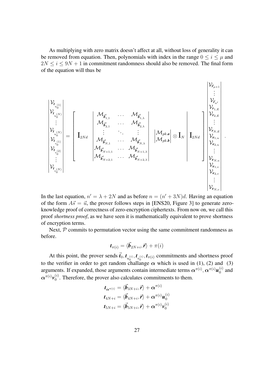As multiplying with zero matrix doesn't affect at all, without loss of generality it can be removed from equation. Then, polynomials with index in the range  $0 \le i \le \mu$  and  $2N \le i \le 9N + 1$  in commitment randomness should also be removed. The final form of the equation will thus be

$$
\begin{bmatrix} \mathcal{V}_{t_{u_{0}^{(1)}}} \\ \mathcal{V}_{t_{u_{0}^{(N)}}} \\ \vdots \\ \mathcal{V}_{t_{u_{0}^{(N)}}} \\ \mathcal{V}_{t_{v_{0}^{(1)}}} \\ \vdots \\ \mathcal{V}_{t_{v_{0}^{(2)}}} \\ \vdots \\ \mathcal{V}_{t_{v_{0}^{(N)}}} \end{bmatrix} = \left[\begin{array}{rrrrr} \begin{bmatrix} \mathcal{M}_{\vec{b}'_{1,1}} & \dots & \mathcal{M}_{\vec{b}'_{1,\lambda}} \\ \mathcal{M}_{\vec{b}'_{1,1}} & \dots & \mathcal{M}_{\vec{b}'_{1,\lambda}} \\ \mathcal{M}_{\vec{b}'_{N,1}} & \dots & \mathcal{M}_{\vec{b}'_{N,\lambda}} \\ \mathcal{M}_{\vec{b}'_{N+1,1}} & \dots & \mathcal{M}_{\vec{b}'_{N+1,\lambda}} \\ \mathcal{M}_{\vec{b}'_{N+1,1}} & \dots & \mathcal{M}_{\vec{b}'_{N+1,\lambda}} \\ \mathcal{M}_{\vec{b}'_{N+2,1}} & \dots & \mathcal{M}_{\vec{b}'_{N+2,\lambda}} \end{bmatrix} & \begin{bmatrix} \mathcal{M}_{pk,a} \\ \mathcal{M}_{pk,a} \\ \mathcal{M}_{pk,b} \\ \mathcal{M}_{pk,b} \end{bmatrix} \otimes \mathbf{I}_{N} & \mathbf{I}_{2Nd} & \begin{bmatrix} \mathcal{V}_{r_{N,E}} \\ \mathcal{V}_{r_{N,E}} \\ \mathcal{V}_{r_{N,E}} \\ \vdots \\ \mathcal{V}_{t_{N,w}} \\ \mathcal{V}_{t_{N,w}} \\ \vdots \\ \mathcal{V}_{t_{N,w}} \end{bmatrix} \right].
$$

In the last equation,  $n' = \lambda + 2N$  and as before  $n = (n' + 3N)d$ . Having an equation of the form  $A\vec{s} = \vec{u}$ , the prover follows steps in [\[ENS20,](#page-43-4) Figure 3] to generate zeroknowledge proof of correctness of zero-encryption ciphertexts. From now on, we call this proof *shortness proof*, as we have seen it is mathematically equivalent to prove shortness of encryption terms.

Next,  $P$  commits to permutation vector using the same commitment randomness as before.

$$
\pmb t_{\pi(i)} = \langle \vec{\pmb b}_{2N+i}, \vec{\pmb r} \rangle + \pi(i)
$$

At this point, the prover sends  $\vec{t}_0, t_{u_0^{(i)}}, t_{v_0^{(i)}}, t_{\pi(i)}$  commitments and shortness proof to the verifier in order to get random challange  $\alpha$  which is used in [\(1\)](#page-21-3), [\(2\)](#page-22-1) and [\(3\)](#page-22-2) arguments. If expanded, those arguments contain intermediate terms  $\alpha^{\pi(i)}$ ,  $\alpha^{\pi(i)}u_0^{(i)}$  $\binom{v}{0}$  and  $\boldsymbol{\alpha}^{\pi(i)}\mathcal{v}_0^{(i)}$  $\binom{1}{0}$ . Therefore, the prover also calculates commitments to them.

$$
t_{\boldsymbol{\alpha}^{\pi(i)}} = \langle \vec{b}_{3N+i}, \vec{r} \rangle + \boldsymbol{\alpha}^{\pi(i)}
$$

$$
t_{4N+i} = \langle \vec{b}_{4N+i}, \vec{r} \rangle + \boldsymbol{\alpha}^{\pi(i)} u_0^{(i)}
$$

$$
t_{5N+i} = \langle \vec{b}_{5N+i}, \vec{r} \rangle + \boldsymbol{\alpha}^{\pi(i)} v_0^{(i)}
$$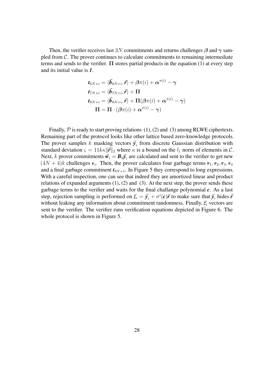Then, the verifier receives last 3N commitments and returns challenges  $\beta$  and  $\gamma$  sampled from  $\mathcal{C}$ . The prover continues to calculate commitments to remaining intermediate terms and sends to the verifier.  $\Pi$  stores partial products in the equation [\(1\)](#page-21-3) at every step and its initial value is *1*.

$$
t_{6N+i} = \langle \vec{b}_{6N+i}, \vec{r} \rangle + \beta \pi(i) + \alpha^{\pi(i)} - \gamma
$$
  
\n
$$
t_{7N+i} = \langle \vec{b}_{7N+i}, \vec{r} \rangle + \Pi
$$
  
\n
$$
t_{8N+i} = \langle \vec{b}_{8N+i}, \vec{r} \rangle + \Pi(\beta \pi(i) + \alpha^{\pi(i)} - \gamma)
$$
  
\n
$$
\Pi = \Pi \cdot (\beta \pi(i) + \alpha^{\pi(i)} - \gamma)
$$

Finally,  $P$  is ready to start proving relations [\(1\)](#page-21-3), [\(2\)](#page-22-1) and [\(3\)](#page-22-2) among RLWE ciphertexts. Remaining part of the protocol looks like other lattice based zero-knowledge protocols. The prover samples k masking vectors  $\vec{y}_i$  from discrete Gaussian distribution with standard deviation  $\varsigma = 11k\kappa \|\vec{r}\|_2$  where  $\kappa$  is a bound on the  $l_1$  norm of elements in C. Next, *k* prover commitments  $\vec{w}_i = B_0 \vec{y}_i$  are calculated and sent to the verifier to get new  $(4N + 4)k$  challenges  $\epsilon_i$ . Then, the prover calculates four garbage terms  $v_1, v_2, v_3, v_4$ and a final garbage commitment  $t_{9N+1}$ . In Figure [5](#page-28-0) they correspond to long expressions. With a careful inspection, one can see that indeed they are amortized linear and product relations of expanded arguments  $(1)$ ,  $(2)$  and  $(3)$ . At the next step, the prover sends these garbage terms to the verifier and waits for the final challange polynomial  $c$ . As a last step, rejection sampling is performed on  $\vec{z}_i = \vec{y}_i + \sigma^i(c)\vec{r}$  to make sure that  $\vec{y}_i$  hides  $\vec{r}$ without leaking any information about commitment randomness. Finally,  $\vec{z}_i$  vectors are sent to the verifier. The verifier runs verification equations depicted in Figure [6.](#page-29-0) The whole protocol is shown in Figure [5.](#page-28-0)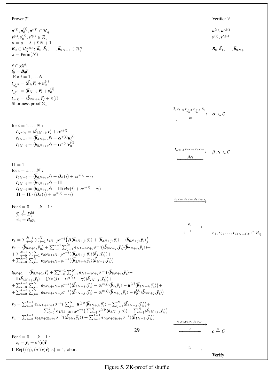<span id="page-28-0"></span>

| Prover $P$                                                                                                                                                                                                                                                                                                                                                                                                                                                                                                                                                                                                                                                                                                                                                                                                                     |    |                                                                                                                                              | Verifier $V$                                                                                 |
|--------------------------------------------------------------------------------------------------------------------------------------------------------------------------------------------------------------------------------------------------------------------------------------------------------------------------------------------------------------------------------------------------------------------------------------------------------------------------------------------------------------------------------------------------------------------------------------------------------------------------------------------------------------------------------------------------------------------------------------------------------------------------------------------------------------------------------|----|----------------------------------------------------------------------------------------------------------------------------------------------|----------------------------------------------------------------------------------------------|
| $\mathbf{u}^{(i)}, \mathbf{u}_0^{(i)}, \mathbf{u}'^{(i)} \in \mathcal{R}_q$<br>$\mathbf{v}^{(i)}, \mathbf{v}_0^{(i)}, \mathbf{v}'^{(i)} \in \mathcal{R}_a$                                                                                                                                                                                                                                                                                                                                                                                                                                                                                                                                                                                                                                                                     |    |                                                                                                                                              | ${\bf u}^{(i)}, {\bf u}^{\prime,(i)}$<br>$v^{(i)}, v',^{(i)}$                                |
| $\kappa = \mu + \lambda + 9N + 1$<br>$\boldsymbol{B}_0 \in \mathcal{R}_q^{\mu \times \kappa};\ \vec{\boldsymbol{b}}_0, \vec{\boldsymbol{b}}_1, \ldots, \vec{\boldsymbol{b}}_{9N+1} \in \mathcal{R}^\kappa_q$<br>$\pi = \text{Perm}(N)$                                                                                                                                                                                                                                                                                                                                                                                                                                                                                                                                                                                         |    |                                                                                                                                              | $\vec{B}_0, \vec{b}_1, \ldots, \vec{b}_{9N+1}$                                               |
| $\vec{r} \in \chi_2^{\kappa d}$ ;<br>$\vec{t}_0 = B_0 \vec{r}$<br>For $i=1,\ldots N$<br>$\boldsymbol{t}_{u_i^{(i)}} = \langle \vec{\boldsymbol{b}}_i, \vec{\boldsymbol{r}} \rangle + \boldsymbol{u}_0^{(i)}$                                                                                                                                                                                                                                                                                                                                                                                                                                                                                                                                                                                                                   |    |                                                                                                                                              |                                                                                              |
| $\boldsymbol{t}_{v_{\mathrm{o}}^{(i)}} = \langle \vec{\boldsymbol{b}}_{N+i}, \vec{\boldsymbol{r}} \rangle + \boldsymbol{v}_{0}^{(i)}$<br>$t_{\pi(i)} = \langle \vec{b}_{2N+i}, \vec{r} \rangle + \pi(i)$                                                                                                                                                                                                                                                                                                                                                                                                                                                                                                                                                                                                                       |    |                                                                                                                                              |                                                                                              |
| Shortness proof $\Sigma_1$                                                                                                                                                                                                                                                                                                                                                                                                                                                                                                                                                                                                                                                                                                                                                                                                     |    | $\begin{CD} \frac{\vec{t}_0,t_{\pi(i)},t_{u_0^{(i)}},t_{v_0^{(i)}},\Sigma_1}{\alpha} \ \frac{\alpha}{\alpha}\in\mathcal{C} \end{CD}$         |                                                                                              |
| for $i = 1, \ldots N$ :<br>$t_{\alpha^{\pi(i)}} = \langle \vec{b}_{3N+i}, \vec{r} \rangle + \alpha^{\pi(i)}$<br>$\bm{t}_{4N+i} = \langle \vec{\bm{b}}_{4N+i}, \vec{\bm{r}} \rangle + \bm{\alpha}^{\pi(i)} \bm{u}_0^{(i)}$<br>$\bm{t}_{5N+i} = \langle \vec{\bm{b}}_{5N+i}, \vec{\bm{r}} \rangle + \bm{\alpha}^{\pi(i)} \bm{\mathfrak{v}}_0^{(i)}$                                                                                                                                                                                                                                                                                                                                                                                                                                                                              |    |                                                                                                                                              |                                                                                              |
|                                                                                                                                                                                                                                                                                                                                                                                                                                                                                                                                                                                                                                                                                                                                                                                                                                |    | $\overrightarrow{\iota_{\alpha^{\pi(i)}}}, \overrightarrow{\iota_{4N+i}}, \overrightarrow{\iota_{5N+i}} \quad \beta, \gamma \in \mathcal{C}$ |                                                                                              |
| $\Pi = 1$<br>for $i = 1, \ldots N$ :<br>$\boldsymbol{t}_{6N+i} = \langle \vec{\boldsymbol{b}}_{6N+i}, \vec{\boldsymbol{r}} \rangle + \boldsymbol{\beta} \pi(i) + \boldsymbol{\alpha}^{\pi(i)} - \boldsymbol{\gamma}$<br>$t_{7N+i} = \langle \vec{b}_{7N+i}, \vec{r} \rangle + \Pi$<br>$\boldsymbol{t}_{8N+i} = \langle \vec{\boldsymbol{b}}_{8N+i}, \vec{\boldsymbol{r}} \rangle + \boldsymbol{\Pi}(\boldsymbol{\beta} \pi(i) + \boldsymbol{\alpha}^{\pi(i)} - \boldsymbol{\gamma})$<br>$\Pi = \Pi \cdot (\beta \pi(i) + \alpha^{\pi(i)} - \gamma)$                                                                                                                                                                                                                                                                            |    |                                                                                                                                              |                                                                                              |
| For $i = 0, , k - 1$ :<br>$\vec{y}_i \overset{\$}{\leftarrow} D_{\varsigma}^{ld}$<br>$\vec{w}_i = \vec{B}_0 \vec{y}_i$                                                                                                                                                                                                                                                                                                                                                                                                                                                                                                                                                                                                                                                                                                         |    | $t_{6N+i}, t_{7N+i}, t_{8N+i},$                                                                                                              |                                                                                              |
|                                                                                                                                                                                                                                                                                                                                                                                                                                                                                                                                                                                                                                                                                                                                                                                                                                |    |                                                                                                                                              | $\overline{\epsilon}$ $\epsilon_1, \epsilon_2, \ldots, \epsilon_{(4N+4)k} \in \mathcal{R}_q$ |
| $\begin{array}{l} {\mathfrak{v}}_1 = \sum_{i=0}^{k-1} \sum_{j=1}^N \epsilon_{iN+j} \sigma^{-i} \Bigl( \beta \langle \vec{\pmb{b}}_{2N+j}, \vec{\pmb{y}}_i \rangle + \langle \vec{\pmb{b}}_{3N+j}, \vec{\pmb{y}}_i \rangle - \langle \vec{\pmb{b}}_{6N+j}, \vec{\pmb{y}}_i \rangle \Bigr)\\ {\mathfrak{v}}_2 = \langle \vec{\pmb{b}}_{9N+1}, \vec{\pmb{y}}_0 \rangle + \sum_{i=0}^{k-1} \sum_{j=1}^N \epsilon_{N k+iN+j} \sigma^{-i} (\langle$                                                                                                                                                                                                                                                                                                                                                                                  |    |                                                                                                                                              |                                                                                              |
| $t_{9N+1}=\langle \vec{\bm{b}}_{9N+1},\vec{\bm{r}}\rangle+\sum_{i=0}^{k-1}\sum_{j=1}^{N}\bm{\epsilon}_{Nk+iN+j}\sigma^{-i}\big(\langle \vec{\bm{b}}_{8N+j},\vec{\bm{y}}_i\rangle-\rangle$<br>$-\Pi \langle \vec{\bm{b}}_{6N+j}, \vec{\bm{y}}_i \rangle - (\bm{\beta} \pi(j) + \bm{\alpha}^{\pi(j)} - \bm{\gamma}) \langle \vec{\bm{b}}_{7N+j}, \vec{\bm{y}}_i \rangle) +$<br>$+ \sum_{i=0}^{k-1}\sum_{j=1}^{N^{i}} \epsilon_{2Nk+iN+j}\sigma^{-i}(\langle \vec{b}_{4N+j}, \vec{y}_i \rangle -\alpha^{\pi(j)}\langle \vec{b}_j, \vec{y}_i \rangle -\bm{u}_0^{(j)}\langle \vec{b}_{3N+j}, \vec{y}_i \rangle ) + \ + \sum_{i=0}^{k-1}\sum_{j=1}^{N^{i}} \epsilon_{3Nk+iN+j}\sigma^{-i}(\langle \vec{b}_{5N+j}, \vec{y}_i \rangle -\alpha^{\pi(j)}\langle \vec{b}_{N+j}, \vec{y}_i \rangle -\bm{v}_0^{(j)}\langle \vec{b}_{3N+j},$ |    |                                                                                                                                              |                                                                                              |
| $v_3 = \sum_{i=0}^{k-1} \epsilon_{4Nk+2i+1} \sigma^{-i} \left( \sum_{j=1}^N \boldsymbol{u}^{(j)\prime} \langle \vec{b}_{3N+j}, \vec{y}_i \rangle - \sum_{j=1}^N \langle \vec{b}_{4N+j}, \vec{y}_i \rangle \right) +$<br>$+\sum_{i=0}^{k-1} \epsilon_{4Nk+2i+2}\sigma^{-i}\left(\sum_{j=1}^N \mathbf{v}^{(j)\prime}\langle \vec{b}_{3N+j}, \vec{y}_i\rangle - \sum_{j=1}^N \langle \vec{b}_{5N+j}, \vec{y}_i\rangle\right)$<br>$v_4 = \sum_{i=0}^{k-1} \epsilon_{(4N+2)k+i} \sigma^{-i}(\langle \vec{b}_{9N}, \vec{y}_i \rangle) + \sum_{i=0}^{k-1} \epsilon_{(4N+3)k+i} \sigma^{-i}(\langle \vec{b}_{7N+1}, \vec{y}_i \rangle)$                                                                                                                                                                                                |    |                                                                                                                                              |                                                                                              |
| For $i = 0, \ldots k - 1$ :                                                                                                                                                                                                                                                                                                                                                                                                                                                                                                                                                                                                                                                                                                                                                                                                    | 29 | $\frac{\nu_1,\nu_2,\nu_3,\nu_4,t_{9N+1}}{(\nu_1,\nu_2,\nu_3,\nu_4,t_{9N+1})}$<br>$\leftarrow$ $\frac{c}{c}$ $\leftarrow$ $\frac{8}{c}$ $C$   |                                                                                              |
| $\vec{z}_i = \vec{y}_i + \sigma^i(c)\vec{r}$<br>If Rej $((\vec{z}_i), (\sigma^i(\mathbf{c})\vec{r}), \mathbf{s}) = 1$ , abort                                                                                                                                                                                                                                                                                                                                                                                                                                                                                                                                                                                                                                                                                                  |    |                                                                                                                                              |                                                                                              |
|                                                                                                                                                                                                                                                                                                                                                                                                                                                                                                                                                                                                                                                                                                                                                                                                                                |    |                                                                                                                                              | <b>Verify</b>                                                                                |

Figure 5. ZK-proof of shuffle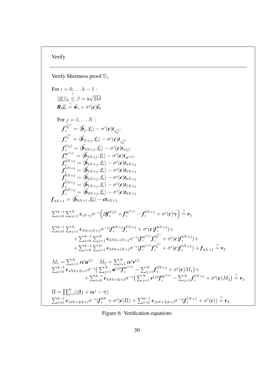# <span id="page-29-0"></span>Verify

Verify Shortness proof 
$$
\Sigma_1
$$
  
\nFor  $i = 0, ... k - 1$ :  
\n $||\vec{z}_i||_2 \leq \beta = s\sqrt{2ld}$   
\n $B_0\vec{z}_i \stackrel{?}{=} \vec{w}_i + \sigma^i(c)\vec{t}_0$   
\nFor  $j = 1, ... N$ :  
\n $f_i^{u_0^{(j)}} = (\vec{b}_j, \vec{z}_i) - \sigma^i(c)t_{u_0^{(j)}}$   
\n $f_i^{u_0^{(j)}} = (\vec{b}_{N+j}, \vec{z}_i) - \sigma^i(c)t_{u_0^{(j)}}$   
\n $f_i^{u_0^{(j)}} = (\vec{b}_{N+j}, \vec{z}_i) - \sigma^i(c)t_{u_0^{(j)}}$   
\n $f_i^{u_0^{(j)}} = (\vec{b}_{2N+j}, \vec{z}_i) - \sigma^i(c)t_{u_0^{(j)}}$   
\n $f_i^{u_0^{(j)}} = (\vec{b}_{2N+j}, \vec{z}_i) - \sigma^i(c)t_{u_0^{(j)}}$   
\n $f_i^{u_0^{(j)}} = (\vec{b}_{2N+j}, \vec{z}_i) - \sigma^i(c)t_{u_0^{(j)}}$   
\n $f_i^{u_0^{(j)}} = (\vec{b}_{2N+j}, \vec{z}_i) - \sigma^i(c)t_{u_0^{(j)}}$   
\n $f_i^{u_0^{(j)}} = (\vec{b}_{2N+j}, \vec{z}_i) - \sigma^i(c)t_{u_0^{(j)}}$   
\n $f_i^{v_0^{(j)}} = (\vec{b}_{2N+j}, \vec{z}_i) - \sigma^i(c)t_{u_0^{(j)}}$   
\n $f_i^{v_0^{(j)}} = (\vec{b}_{2N+j}, \vec{z}_i) - \sigma^i(c)t_{u_0^{(j)}}$   
\n $f_i^{v_0^{(j)}} = (\vec{b}_{2N+j}, \vec{z}_i) - \sigma^i(c)t_{u_0^{(j)}}$   
\n $f_{2N+1}^{(k)} = (\vec{b}_{2N+j}, \vec{z}_i) - \sigma^i(c)t_{u_0^{(j)}}$   
\n $f_{2N+1}^{(k)} = (\vec{b}_{2N+j}, \vec{z}_i) - \sigma^i(c)t_{u_0$ 

# Figure 6. Verification equations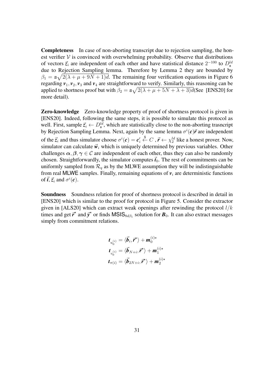Completeness In case of non-aborting transcript due to rejection sampling, the honest verifier  $V$  is convinced with overwhelming probability. Observe that distributions of vectors  $\vec{z}_i$  are independent of each other and have statistical distance  $2^{-100}$  to  $D_s^{ld}$ due to Rejection Sampling lemma. Therefore by Lemma [2](#page-11-3) they are bounded by  $\beta_1 = s\sqrt{2(\lambda + \mu + 9N + 1)d}$ . The remaining four verification equations in Figure [6](#page-29-0) regarding  $v_1$ ,  $v_2$ ,  $v_3$  and  $v_4$  are straightforward to verify. Similarly, this reasoning can be applied to shortness proof but with  $\beta_2 = s\sqrt{2(\lambda + \mu + 5N + \lambda + 3)d}$  (See [\[ENS20\]](#page-43-4) for more detail).

Zero-knowledge Zero-knowledge property of proof of shortness protocol is given in [\[ENS20\]](#page-43-4). Indeed, following the same steps, it is possible to simulate this protocol as well. First, sample  $\vec{z}_i \leftarrow D_s^{ld}$ , which are statistically close to the non-aborting trasncript by Rejection Sampling Lemma. Next, again by the same lemma  $\sigma^{i}(\boldsymbol{c})\vec{r}$  are independent of the  $\vec{z}_i$  and thus simulator choose  $\sigma^i(\mathbf{c}) = \mathbf{c}'_i$  $\stackrel{\$}{\leftarrow} C$ ,  $\vec{r} \leftarrow \chi_2^{ld}$  like a honest prover. Now, simulator can calculate  $\vec{w}_i$  which is uniquely determined by previous variables. Other challenges  $\alpha, \beta, \gamma \in \mathcal{C}$  are independent of each other, thus they can also be randomly chosen. Straightforwardly, the simulator computes  $\vec{t}_0$ . The rest of commitments can be uniformly sampled from  $\mathcal{R}_q$  as by the MLWE assumption they will be indistinguishable from real MLWE samples. Finally, remaining equations of  $v_i$  are deterministic functions of  $\vec{t}$ ,  $\vec{z}_i$  and  $\sigma^i(\boldsymbol{c})$ .

Soundness Soundness relation for proof of shortness protocol is described in detail in [\[ENS20\]](#page-43-4) which is similar to the proof for protocol in Figure [5.](#page-28-0) Consider the extractor given in [\[ALS20\]](#page-42-4) which can extract weak openings after rewinding the protocol  $l/k$ times and get  $\vec{r}$  and  $\vec{y}$  or finds  $MSIS_{8d\beta_1}$  solution for  $B_0$ . It can also extract messages simply from commitment relations.

$$
\begin{aligned} \boldsymbol{t}_{u_0^{(i)}} &= \langle \vec{\boldsymbol{b}}_i, \vec{\boldsymbol{r}}^\star \rangle + \boldsymbol{m}_0^{(i)\star} \\ \boldsymbol{t}_{v_0^{(i)}} &= \langle \vec{\boldsymbol{b}}_{N+i}, \vec{\boldsymbol{r}}^\star \rangle + \boldsymbol{m}_1^{(i)\star} \\ \boldsymbol{t}_{\pi(i)} &= \langle \vec{\boldsymbol{b}}_{2N+i}, \vec{\boldsymbol{r}}^\star \rangle + \boldsymbol{m}_2^{(i)\star} \end{aligned}
$$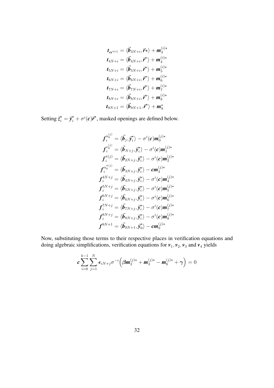$$
t_{\alpha^{\pi(i)}} = \langle \vec{b}_{3N+i}, \vec{r}_{\star} \rangle + m_3^{(i) \star}
$$
  
\n
$$
t_{4N+i} = \langle \vec{b}_{4N+i}, \vec{r}^{\star} \rangle + m_4^{(i) \star}
$$
  
\n
$$
t_{5N+i} = \langle \vec{b}_{5N+i}, \vec{r}^{\star} \rangle + m_5^{(i) \star}
$$
  
\n
$$
t_{6N+i} = \langle \vec{b}_{6N+i}, \vec{r}^{\star} \rangle + m_6^{(i) \star}
$$
  
\n
$$
t_{7N+i} = \langle \vec{b}_{7N+i}, \vec{r}^{\star} \rangle + m_7^{(i) \star}
$$
  
\n
$$
t_{8N+i} = \langle \vec{b}_{8N+i}, \vec{r}^{\star} \rangle + m_8^{(i) \star}
$$
  
\n
$$
t_{9N+1} = \langle \vec{b}_{9N+1}, \vec{r}^{\star} \rangle + m_9^{(i) \star}
$$

Setting  $\vec{z}_i^* = \vec{y}_i^* + \sigma^i(c)\vec{r}^*$ , masked openings are defined below.

$$
\boldsymbol{f}_{i}^{u_{0}^{(j)}}=\langle\vec{b}_{j},\vec{y}_{i}^{\star}\rangle-\sigma^{i}(\boldsymbol{c})\boldsymbol{m}_{0}^{(j)\star} \boldsymbol{f}_{i}^{v_{0}^{(j)}}=\langle\vec{b}_{N+j},\vec{y}_{i}^{\star}\rangle-\sigma^{i}(\boldsymbol{c})\boldsymbol{m}_{1}^{(j)\star} \boldsymbol{f}_{i}^{\pi(j)}=\langle\vec{b}_{2N+j},\vec{y}_{i}^{\star}\rangle-\sigma^{i}(\boldsymbol{c})\boldsymbol{m}_{2}^{(j)\star} \boldsymbol{f}_{i}^{\alpha_{0}^{\pi(j)}}=\langle\vec{b}_{3N+j},\vec{y}_{i}^{\star}\rangle-\boldsymbol{c}\boldsymbol{m}_{3}^{(j)\star} \boldsymbol{f}_{i}^{4N+j}=\langle\vec{b}_{4N+j},\vec{y}_{i}^{\star}\rangle-\sigma^{i}(\boldsymbol{c})\boldsymbol{m}_{4}^{(j)\star} \boldsymbol{f}_{i}^{5N+j}=\langle\vec{b}_{5N+j},\vec{y}_{i}^{\star}\rangle-\sigma^{i}(\boldsymbol{c})\boldsymbol{m}_{5}^{(j)\star} \boldsymbol{f}_{i}^{6N+j}=\langle\vec{b}_{6N+j},\vec{y}_{i}^{\star}\rangle-\sigma^{i}(\boldsymbol{c})\boldsymbol{m}_{6}^{(j)\star} \boldsymbol{f}_{i}^{7N+j}=\langle\vec{b}_{7N+j},\vec{y}_{i}^{\star}\rangle-\sigma^{i}(\boldsymbol{c})\boldsymbol{m}_{7}^{(j)\star} \boldsymbol{f}_{i}^{8N+j}=\langle\vec{b}_{8N+j},\vec{y}_{i}^{\star}\rangle-\sigma^{i}(\boldsymbol{c})\boldsymbol{m}_{8}^{(j)\star} \boldsymbol{f}_{9N+1}^{9N+1}=\langle\vec{b}_{9N+1},\vec{y}_{0}^{\star}\rangle-\boldsymbol{c}\boldsymbol{m}_{9}^{(j)\star}
$$

Now, substituting those terms to their respective places in verification equations and doing algebraic simplifications, verification equations for  $v_1$ ,  $v_2$ ,  $v_3$  and  $v_4$  yields

$$
\boldsymbol{c} \sum_{i=0}^{k-1} \sum_{j=1}^N \boldsymbol{\epsilon}_{iN+j} \sigma^{-i} \Big( \boldsymbol{\beta} \boldsymbol{m}_2^{(j)\star} + \boldsymbol{m}_3^{(j)\star} - \boldsymbol{m}_6^{(j)\star} + \boldsymbol{\gamma} \Big) = 0
$$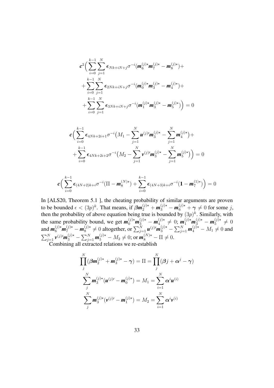$$
\mathbf{c}^{2}\Big(\sum_{i=0}^{k-1}\sum_{j=1}^{N}\epsilon_{Nk+iN+j}\sigma^{-i}(\mathbf{m}_{6}^{(j)\star}\mathbf{m}_{7}^{(j)\star}-\mathbf{m}_{8}^{(j)\star})+\n+ \sum_{i=0}^{k-1}\sum_{j=1}^{N}\epsilon_{2Nk+iN+j}\sigma^{-i}(\mathbf{m}_{0}^{(j)\star}\mathbf{m}_{3}^{(j)\star}-\mathbf{m}_{4}^{(j)\star})+\n+ \sum_{i=0}^{k-1}\sum_{j=1}^{N}\epsilon_{3Nk+iN+j}\sigma^{-i}(\mathbf{m}_{1}^{(j)\star}\mathbf{m}_{3}^{(j)\star}-\mathbf{m}_{5}^{(j)\star})\Big)=0
$$

$$
\mathbf{c} \Big( \sum_{i=0}^{k-1} \epsilon_{4Nk+2i+1} \sigma^{-i} \big( M_1 - \sum_{j=1}^N \mathbf{u}^{(j)} \mathbf{m}_3^{(j)\star} - \sum_{j=1}^N \mathbf{m}_4^{(j)\star} \big) + \\ + \sum_{i=0}^{k-1} \epsilon_{4Nk+2i+2} \sigma^{-i} \big( M_2 - \sum_{j=1}^N \mathbf{v}^{(j)} \mathbf{m}_3^{(j)\star} - \sum_{j=1}^N \mathbf{m}_5^{(j)\star} \big) \Big) = 0
$$

$$
c\Big(\sum_{i=0}^{k-1} \epsilon_{(4N+2)k+i} \sigma^{-i} (\Pi - \mathbf{m}_8^{(N)\star}) + \sum_{i=0}^{k-1} \epsilon_{(4N+3)k+i} \sigma^{-i} (\mathbf{1} - \mathbf{m}_7^{(1)\star})\Big) = 0
$$

In [\[ALS20,](#page-42-4) Theorem 5.1 ], the cheating probability of similar arguments are proven to be bounded  $\epsilon < (3p)^k$ . That means, if  $\beta m_2^{(j)*} + m_3^{(j)*} - m_6^{(j)*} + \gamma \neq 0$  for some j, then the probability of above equation being true is bounded by  $(3p)^k$ . Similarly, with the same probability bound, we get  $m_0^{(j)*}m_3^{(j)*} - m_4^{(j)*} \neq 0$ ;  $m_1^{(j)*}m_3^{(j)*} - m_5^{(j)*} \neq 0$ and  $m_6^{(j)*}m_7^{(j)*} - m_8^{(j)*} \neq 0$  altogether, or  $\sum_{j=1}^N u^{(j)}m_3^{(j)*} - \sum_{j=1}^N m_4^{(j)*} - M_1 \neq 0$  and  $\sum_{j=1}^{N} \mathbf{v}^{(j)} \mathbf{m}_3^{(j)\star} - \sum_{j=1}^{N} \mathbf{m}_5^{(j)\star} - M_2 \neq 0$ ; or  $\mathbf{m}_8^{(N)\star} - \Pi \neq 0$ .

Combining all extracted relations we re-establish

$$
\prod_{j}^{N}(\beta m_{2}^{(j)\star} + m_{3}^{(j)\star} - \gamma) = \Pi = \prod_{j}^{N}(\beta j + \alpha^{j} - \gamma)
$$
  

$$
\sum_{j}^{N} m_{3}^{(j)\star} (u^{(j)\prime} - m_{0}^{(j)\star}) = M_{1} = \sum_{i=1}^{N} \alpha^{i} u^{(i)}
$$
  

$$
\sum_{j}^{N} m_{3}^{(j)\star} (v^{(j)\prime} - m_{1}^{(j)\star}) = M_{2} = \sum_{i=1}^{N} \alpha^{i} v^{(i)}
$$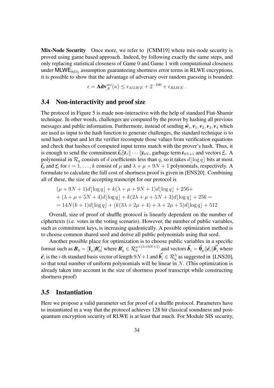Mix-Node Security Once more, we refer to [\[CMM19\]](#page-42-5) where mix-node security is proved using game based approach. Indeed, by following exactly the same steps, and only replacing statistical closeness of Game 0 and Game 1 with computational closeness under MLWE $_{8d\beta_2}$  assumption guaranteeing shortness error terms in RLWE encryptions, it is possible to show that the advantage of adversary over random guessing is bounded:

$$
\epsilon = \mathbf{Adv}_{\mathcal{A}}^{sec}(\kappa) \leq \epsilon_{MLWE} + 2^{-100} + \epsilon_{RLWE}.
$$

#### <span id="page-33-0"></span>3.4 Non-interactivity and proof size

The protocol in Figure [5](#page-28-0) is made non-interactive with the help of standard Fiat-Shamir technique. In other words, challenges are computed by the prover by hashing all previous messages and public information. Furthermore, instead of sending  $\vec{w}_i$ ,  $v_1$ ,  $v_2$ ,  $v_3$ ,  $v_4$  which are used as input to the hash function to generate challenges, the standard technique is to send hash output and let the verifier recompute those values from verification equations and check that hashes of computed input terms match with the prover's hash. Thus, it is enough to send the commitment  $\vec{t}_0 || t_1 || \cdots || t_{9N}$ , garbage term  $t_{9N+1}$  and vectors  $\vec{z}_i$ . A polynomial in  $\mathcal{R}_q$  consists of d coefficients less than q, so it takes  $d|\log q|$  bits at most.  $\vec{t}_0$  and  $\vec{z}_i$  for  $i = 1, \ldots, k$  consist of  $\mu$  and  $\lambda + \mu + 9N + 1$  polynomials, respectively. A formulate to calculate the full cost of shortness proof is given in [\[ENS20\]](#page-43-4). Combining all of these, the size of accepting trasncript for our protocol is

$$
(\mu + 9N + 1)d[\log q] + k(\lambda + \mu + 9N + 1)d[\log q] + 256 +
$$
  
+ (\lambda + \mu + 5N + 4)d[\log q] + k(2\lambda + \mu + 5N + 3)d[\log q] + 256 =  
= 14N(k+1)d[\log q] + (k(3\lambda + 2\mu + 4) + \lambda + 2\mu + 5)d[\log q] + 512

Overall, size of proof of shuffle protocol is linearly dependent on the number of ciphertexts (i.e. votes in the voting scenario). However, the number of public variables, such as commitment keys, is increasing quadratically. A possible optimization method is to choose common shared seed and derive all public polynomials using that seed.

Another possible place for optimization is to choose public variables in a specific format such as  $\boldsymbol{B}_0 = [\mathbf{I}_{\mu} | \boldsymbol{B}_0^{\prime}]$  $\mathbf{B}'_0$  where  $\mathbf{B}'_0 \in \mathcal{R}_q^{\mu \times (\lambda + 9N+1)}$  and vectors  $\vec{b}_i = \vec{0}_{\mu} || \vec{e}_i || \vec{b}_i'$  where  $\vec{e}_i$  is the *i*-th standard basis vector of length  $9N+1$  and  $\vec{b}'_i \in \mathcal{R}^{\lambda}_q$  as suggested in [\[LNS20\]](#page-44-6), so that total number of uniform polynomials will be linear in  $N$ . (This optimization is already taken into account in the size of shortness proof transcript while constructing shortness proof)

### <span id="page-33-1"></span>3.5 Instantiation

Here we propose a valid parameter set for proof of a shuffle protocol. Parameters have to instantiated in a way that the protocol achieves 128 bit classical soundness and postquantum encryption security of RLWE is at least that much. For Module SIS security,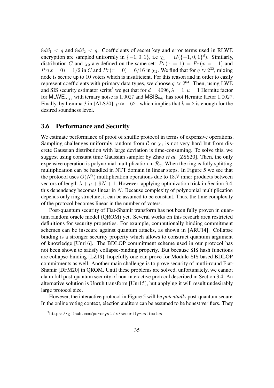$8d\beta_1 < q$  and  $8d\beta_2 < q$ . Coefficients of secret key and error terms used in RLWE encryption are sampled uniformly in  $\{-1,0,1\}$ , i.e  $\chi_1 = \mathcal{U}(\{-1,0,1\}^d)$ . Similarly, distribution C and  $\chi_2$  are defined on the same set:  $Pr(x = 1) = Pr(x = -1)$  and  $Pr(x = 0) = 1/2$  in C and  $Pr(x = 0) = 6/16$  in  $\chi_2$ . We find that for  $q \approx 2^{32}$ , mixing node is secure up to 10 voters which is insufficient. For this reason and in order to easily represent coefficients with primary data types, we choose  $q \approx 2^{64}$ . Then, using LWE and SIS security estimator script<sup>[3](#page-34-1)</sup> we get that for  $d = 4096$ ,  $\lambda = 1$ ,  $\mu = 1$  Hermite factor for MLWE<sub> $\lambda$ , $\chi$ <sub>2</sub> with ternary noise is 1.0027 and MSIS<sub>8d $\beta$ </sub> has root Hermite factor 1.0027.</sub> Finally, by Lemma 3 in [\[ALS20\]](#page-42-4),  $p \approx -62$ ., which implies that  $k = 2$  is enough for the desired soundness level.

#### <span id="page-34-0"></span>3.6 Performance and Security

We estimate performance of proof of shuffle protocol in terms of expensive operations. Sampling challenges uniformly random from C or  $\chi_1$  is not very hard but from discrete Gaussian distribution with large deviation is time-consuming. To solve this, we suggest using constant time Gaussian sampler by Zhao *et al.* [\[ZSS20\]](#page-46-0). Then, the only expensive operation is polynomial multiplication in  $\mathcal{R}_q$ . When the ring is fully splitting, multiplication can be handled in NTT domain in linear steps. In Figure [5](#page-28-0) we see that the protocol uses  $O(N^2)$  multiplication operations due to 18N inner products between vectors of length  $\lambda + \mu + 9N + 1$ . However, applying optimization trick in Section [3.4,](#page-33-0) this dependency becomes linear in  $N$ . Because complexity of polynomial multiplication depends only ring structure, it can be assumed to be constant. Thus, the time complexity of the protocol becomes linear in the number of voters.

Post-quantum security of Fiat-Shamir transform has not been fully proven in quantum random oracle model (QROM) yet. Several works on this researh area restricted definitions for security properties. For example, computionally binding commitment schemes can be insecure against quantum attacks, as shown in [\[ARU14\]](#page-42-9). Collapse binding is a stronger security property which allows to construct quantum argument of knowledge [\[Unr16\]](#page-45-7). The BDLOP commitment scheme used in our protocol has not been shown to satisfy collapse-binding property. But because SIS hash functions are collapse-binding [\[LZ19\]](#page-44-7), hopefully one can prove for Module-SIS based BDLOP commitments as well. Another main challenge is to prove security of mutli-round Fiat-Shamir [\[DFM20\]](#page-43-5) in QROM. Until these problems are solved, unfortunately, we cannot claim full post-quantum security of non-interactive protocol described in Section [3.4.](#page-33-0) An alternative solution is Unruh transform [\[Unr15\]](#page-45-8), but applying it will result undesirably large protocol size.

However, the interactive protocol in Figure [5](#page-28-0) will be *potentially* post-quantum secure. In the online voting context, election auditors can be assumed to be honest verifiers. They

<span id="page-34-1"></span><sup>3</sup><https://github.com/pq-crystals/security-estimates>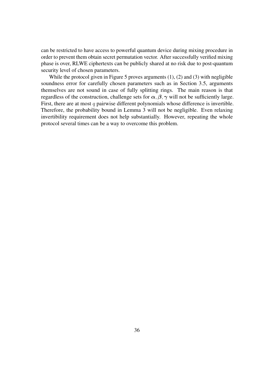can be restricted to have access to powerful quantum device during mixing procedure in order to prevent them obtain secret permutation vector. After successfully verified mixing phase is over, RLWE ciphertexts can be publicly shared at no risk due to post-quantum security level of chosen parameters.

While the protocol given in Figure [5](#page-28-0) proves arguments [\(1\)](#page-21-3), [\(2\)](#page-22-1) and [\(3\)](#page-22-2) with negligible soundness error for carefully chosen parameters such as in Section [3.5,](#page-33-1) arguments themselves are not sound in case of fully splitting rings. The main reason is that regardless of the construction, challenge sets for  $\alpha$ ,  $\beta$ ,  $\gamma$  will not be sufficiently large. First, there are at most  $q$  pairwise different polynomials whose difference is invertible. Therefore, the probability bound in Lemma [3](#page-11-2) will not be negligible. Even relaxing invertibility requirement does not help substantially. However, repeating the whole protocol several times can be a way to overcome this problem.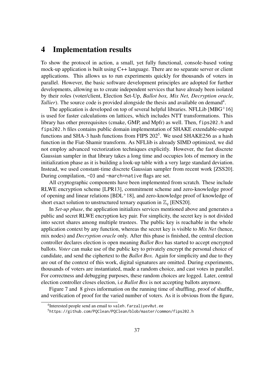# <span id="page-36-0"></span>4 Implementation results

To show the protocol in action, a small, yet fully functional, console-based voting mock-up application is built using C++ language. There are no separate server or client applications. This allows us to run experiments quickly for thousands of voters in parallel. However, the basic software development principles are adopted for further developments, allowing us to create independent services that have already been isolated by their roles (voter/client, Election Set-Up, *Ballot box, Mix Net, Decryption oracle,* Tallier). The source code is provided alongside the thesis and available on demand<sup>[4](#page-36-1)</sup>.

The application is developed on top of several helpful libraries. NFLLib  $[MBG^+16]$  $[MBG^+16]$ is used for faster calculations on lattices, which includes NTT transformations. This library has other prerequisites (cmake, GMP, and Mpfr) as well. Then, fips202.h and fips202.h files contains public domain implementation of SHAKE extendable-output functions and SHA-3 hash functions from FIPS  $202^5$  $202^5$ . We used SHAKE256 as a hash function in the Fiat-Shamir transform. As NFLlib is already SIMD optimized, we did not employ advanced vectorization techniques explicitly. However, the fast discrete Gaussian sampler in that library takes a long time and occupies lots of memory in the initialization phase as it is building a look-up table with a very large standard deviation. Instead, we used constant-time discrete Gaussian sampler from recent work [\[ZSS20\]](#page-46-0). During compilation, -O3 and -march=native flags are set.

All cryptographic components have been implemented from scratch. These include RLWE encryption scheme [\[LPR13\]](#page-44-4), commitment scheme and zero-knowledge proof of opening and linear relations  $[BDL+18]$  $[BDL+18]$ , and zero-knowledge proof of knowledge of short exact solution to unstructured ternary equation in  $\mathbb{Z}_q$  [\[ENS20\]](#page-43-4).

In *Set-up phase*, the application initializes services mentioned above and generates a public and secret RLWE encryption key pair. For simplicity, the secret key is not divided into secret shares among multiple trustees. The public key is reachable in the whole application context by any function, whereas the secret key is visible to *Mix Net* (hence, mix nodes) and *Decryption oracle* only. After this phase is finished, the central election controller declares election is open meaning *Ballot Box* has started to accept encrypted ballots. *Voter* can make use of the public key to privately encrypt the personal choice of candidate, and send the ciphertext to the *Ballot Box*. Again for simplicity and due to they are out of the context of this work, digital signatures are omitted. During experiments, thousands of voters are instantiated, made a random choice, and cast votes in parallel. For correctness and debugging purposes, these random choices are logged. Later, central election controller closes election, i.e *Ballot Box* is not accepting ballots anymore.

Figure [7](#page-37-0) and [8](#page-38-0) gives information on the running time of shuffling, proof of shuffle, and verification of proof for the varied number of voters. As it is obvious from the figure,

<span id="page-36-1"></span><sup>&</sup>lt;sup>4</sup>Interested people send an email to <valeh.farzaliyev@ut.ee>

<span id="page-36-2"></span><sup>5</sup><https://github.com/PQClean/PQClean/blob/master/common/fips202.h>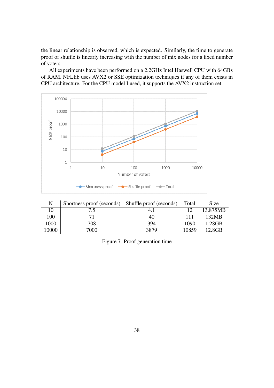the linear relationship is observed, which is expected. Similarly, the time to generate proof of shuffle is linearly increasing with the number of mix nodes for a fixed number of voters.

All experiments have been performed on a 2.2GHz Intel Haswell CPU with 64GBs of RAM. NFLlib uses AVX2 or SSE optimization techniques if any of them exists in CPU architecture. For the CPU model I used, it supports the AVX2 instruction set.

<span id="page-37-0"></span>

| N     | Shortness proof (seconds) Shuffle proof (seconds) |      | Total | <b>Size</b> |
|-------|---------------------------------------------------|------|-------|-------------|
| 10    | 7.5                                               | 4. I |       | 13.875MB    |
| 100   | 71                                                | 40   | 111   | 132MB       |
| 1000  | 708                                               | 394  | 1090  | 1.28GB      |
| 10000 | 7000                                              | 3879 | 10859 | 12.8GB      |

Figure 7. Proof generation time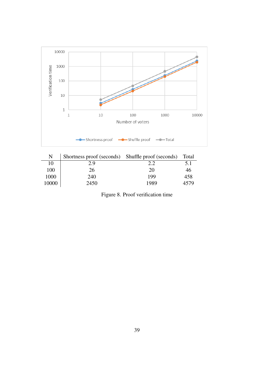<span id="page-38-0"></span>

| N     | Shortness proof (seconds) Shuffle proof (seconds) |      | Total |
|-------|---------------------------------------------------|------|-------|
| 10    | 2.9                                               |      | 5.1   |
| 100   | 26                                                | 20   | 46    |
| 1000  | 240                                               | 199  | 458   |
| 10000 | 2450                                              | 1989 | 4579  |

Figure 8. Proof verification time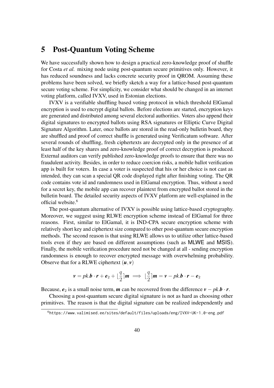# <span id="page-39-0"></span>5 Post-Quantum Voting Scheme

We have successfully shown how to design a practical zero-knowledge proof of shuffle for Costa *et al.* mixing node using post-quantum secure primitives only. However, it has reduced soundness and lacks concrete security proof in QROM. Assuming these problems have been solved, we briefly sketch a way for a lattice-based post-quantum secure voting scheme. For simplicity, we consider what should be changed in an internet voting platform, called IVXV, used in Estonian elections.

IVXV is a verifiable shuffling based voting protocol in which threshold ElGamal encryption is used to encrypt digital ballots. Before elections are started, encryption keys are generated and distributed among several electoral authorities. Voters also append their digital signatures to encrypted ballots using RSA signatures or Elliptic Curve Digital Signature Algorithm. Later, once ballots are stored in the read-only bulletin board, they are shuffled and proof of correct shuffle is generated using Verificatum software. After several rounds of shuffling, fresh ciphertexts are decrypted only in the presence of at least half of the key shares and zero-knowledge proof of correct decryption is produced. External auditors can verify published zero-knowledge proofs to ensure that there was no fraudulent activity. Besides, in order to reduce coercion risks, a mobile ballot verification app is built for voters. In case a voter is suspected that his or her choice is not cast as intended, they can scan a special QR code displayed right after finishing voting. The QR code contains vote id and randomness used in ElGamal encryption. Thus, without a need for a secret key, the mobile app can recover plaintext from encrypted ballot stored in the bulletin board. The detailed security aspects of IVXV platform are well-explained in the official website.<sup>[6](#page-39-1)</sup>

The post-quantum alternative of IVXV is possible using lattice-based cryptography. Moreover, we suggest using RLWE encryption scheme instead of ElGamal for three reasons. First, similar to ElGamal, it is IND-CPA secure encryption scheme with relatively short key and ciphertext size compared to other post-quantum secure encryption methods. The second reason is that using RLWE allows us to utilize other lattice-based tools even if they are based on different assumptions (such as MLWE and MSIS). Finally, the mobile verification procedure need not be changed at all - sending encryption randomness is enough to recover encrypted message with overwhelming probability. Observe that for a RLWE ciphertext  $(u, v)$ 

$$
\mathbf{v} = p\mathbf{k}.\mathbf{b}\cdot\mathbf{r} + \mathbf{e}_2 + \lfloor \frac{q}{2} \rfloor \mathbf{m} \implies \lfloor \frac{q}{2} \rfloor \mathbf{m} = \mathbf{v} - p\mathbf{k}.\mathbf{b}\cdot\mathbf{r} - \mathbf{e}_2
$$

Because,  $e_2$  is a small noise term, *m* can be recovered from the difference  $v - pk \cdot b \cdot r$ .

Choosing a post-quantum secure digital signature is not as hard as choosing other primitives. The reason is that the digital signature can be realized independently and

<span id="page-39-1"></span><sup>6</sup><https://www.valimised.ee/sites/default/files/uploads/eng/IVXV-UK-1.0-eng.pdf>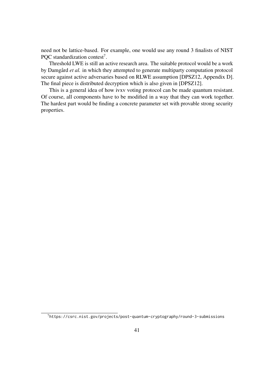need not be lattice-based. For example, one would use any round 3 finalists of NIST PQC standardization contest<sup>[7](#page-40-0)</sup>.

Threshold LWE is still an active research area. The suitable protocol would be a work by Damgård *et al.* in which they attempted to generate multiparty computation protocol secure against active adversaries based on RLWE assumption [\[DPSZ12,](#page-43-6) Appendix D]. The final piece is distributed decryption which is also given in [\[DPSZ12\]](#page-43-6).

This is a general idea of how ivxv voting protocol can be made quantum resistant. Of course, all components have to be modified in a way that they can work together. The hardest part would be finding a concrete parameter set with provable strong security properties.

<span id="page-40-0"></span><sup>7</sup><https://csrc.nist.gov/projects/post-quantum-cryptography/round-3-submissions>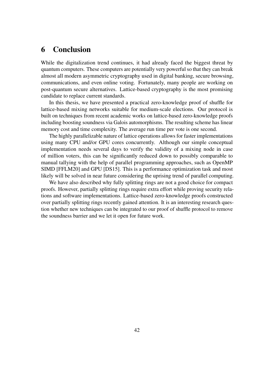# <span id="page-41-0"></span>6 Conclusion

While the digitalization trend continues, it had already faced the biggest threat by quantum computers. These computers are potentially very powerful so that they can break almost all modern asymmetric cryptography used in digital banking, secure browsing, communications, and even online voting. Fortunately, many people are working on post-quantum secure alternatives. Lattice-based cryptography is the most promising candidate to replace current standards.

In this thesis, we have presented a practical zero-knowledge proof of shuffle for lattice-based mixing networks suitable for medium-scale elections. Our protocol is built on techniques from recent academic works on lattice-based zero-knowledge proofs including boosting soundness via Galois automorphisms. The resulting scheme has linear memory cost and time complexity. The average run time per vote is one second.

The highly parallelizable nature of lattice operations allows for faster implementations using many CPU and/or GPU cores concurrently. Although our simple conceptual implementation needs several days to verify the validity of a mixing node in case of million voters, this can be significantly reduced down to possibly comparable to manual tallying with the help of parallel programming approaches, such as OpenMP SIMD [\[FFLM20\]](#page-43-7) and GPU [\[DS15\]](#page-43-2). This is a performance optimization task and most likely will be solved in near future considering the uprising trend of parallel computing.

We have also described why fully splitting rings are not a good choice for compact proofs. However, partially splitting rings require extra effort while proving security relations and software implementations. Lattice-based zero-knowledge proofs constructed over partially splitting rings recently gained attention. It is an interesting research question whether new techniques can be integrated to our proof of shuffle protocol to remove the soundness barrier and we let it open for future work.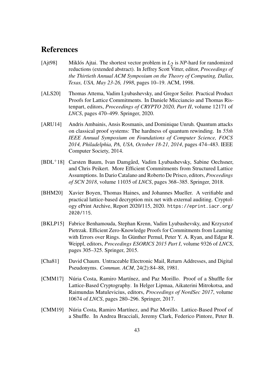## <span id="page-42-2"></span>References

- <span id="page-42-3"></span>[Ajt98] Miklós Ajtai. The shortest vector problem in *L2* is *NP*-hard for randomized reductions (extended abstract). In Jeffrey Scott Vitter, editor, *Proceedings of the Thirtieth Annual ACM Symposium on the Theory of Computing, Dallas, Texas, USA, May 23-26, 1998*, pages 10–19. ACM, 1998.
- <span id="page-42-4"></span>[ALS20] Thomas Attema, Vadim Lyubashevsky, and Gregor Seiler. Practical Product Proofs for Lattice Commitments. In Daniele Micciancio and Thomas Ristenpart, editors, *Proceedings of CRYPTO 2020, Part II*, volume 12171 of *LNCS*, pages 470–499. Springer, 2020.
- <span id="page-42-9"></span>[ARU14] Andris Ambainis, Ansis Rosmanis, and Dominique Unruh. Quantum attacks on classical proof systems: The hardness of quantum rewinding. In *55th IEEE Annual Symposium on Foundations of Computer Science, FOCS 2014, Philadelphia, PA, USA, October 18-21, 2014*, pages 474–483. IEEE Computer Society, 2014.
- <span id="page-42-6"></span>[BDL<sup>+</sup>18] Carsten Baum, Ivan Damgård, Vadim Lyubashevsky, Sabine Oechsner, and Chris Peikert. More Efficient Commitments from Structured Lattice Assumptions. In Dario Catalano and Roberto De Prisco, editors, *Proceedings of SCN 2018*, volume 11035 of *LNCS*, pages 368–385. Springer, 2018.
- <span id="page-42-7"></span>[BHM20] Xavier Boyen, Thomas Haines, and Johannes Mueller. A verifiable and practical lattice-based decryption mix net with external auditing. Cryptology ePrint Archive, Report 2020/115, 2020. [https://eprint.iacr.org/](https://eprint.iacr.org/2020/115) [2020/115](https://eprint.iacr.org/2020/115).
- <span id="page-42-8"></span>[BKLP15] Fabrice Benhamouda, Stephan Krenn, Vadim Lyubashevsky, and Krzysztof Pietrzak. Efficient Zero-Knowledge Proofs for Commitments from Learning with Errors over Rings. In Günther Pernul, Peter Y. A. Ryan, and Edgar R. Weippl, editors, *Proceedings ESORICS 2015 Part I*, volume 9326 of *LNCS*, pages 305–325. Springer, 2015.
- <span id="page-42-0"></span>[Cha81] David Chaum. Untraceable Electronic Mail, Return Addresses, and Digital Pseudonyms. *Commun. ACM*, 24(2):84–88, 1981.
- <span id="page-42-1"></span>[CMM17] Núria Costa, Ramiro Martínez, and Paz Morillo. Proof of a Shuffle for Lattice-Based Cryptography. In Helger Lipmaa, Aikaterini Mitrokotsa, and Raimundas Matulevicius, editors, *Proceedings of NordSec 2017*, volume 10674 of *LNCS*, pages 280–296. Springer, 2017.
- <span id="page-42-5"></span>[CMM19] Núria Costa, Ramiro Martínez, and Paz Morillo. Lattice-Based Proof of a Shuffle. In Andrea Bracciali, Jeremy Clark, Federico Pintore, Peter B.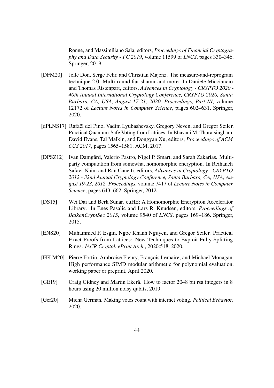Rønne, and Massimiliano Sala, editors, *Proceedings of Financial Cryptography and Data Security - FC 2019*, volume 11599 of *LNCS*, pages 330–346. Springer, 2019.

- <span id="page-43-5"></span>[DFM20] Jelle Don, Serge Fehr, and Christian Majenz. The measure-and-reprogram technique 2.0: Multi-round fiat-shamir and more. In Daniele Micciancio and Thomas Ristenpart, editors, *Advances in Cryptology - CRYPTO 2020 - 40th Annual International Cryptology Conference, CRYPTO 2020, Santa Barbara, CA, USA, August 17-21, 2020, Proceedings, Part III*, volume 12172 of *Lecture Notes in Computer Science*, pages 602–631. Springer, 2020.
- <span id="page-43-3"></span>[dPLNS17] Rafaël del Pino, Vadim Lyubashevsky, Gregory Neven, and Gregor Seiler. Practical Quantum-Safe Voting from Lattices. In Bhavani M. Thuraisingham, David Evans, Tal Malkin, and Dongyan Xu, editors, *Proceedings of ACM CCS 2017*, pages 1565–1581. ACM, 2017.
- <span id="page-43-6"></span>[DPSZ12] Ivan Damgård, Valerio Pastro, Nigel P. Smart, and Sarah Zakarias. Multiparty computation from somewhat homomorphic encryption. In Reihaneh Safavi-Naini and Ran Canetti, editors, *Advances in Cryptology - CRYPTO 2012 - 32nd Annual Cryptology Conference, Santa Barbara, CA, USA, August 19-23, 2012. Proceedings*, volume 7417 of *Lecture Notes in Computer Science*, pages 643–662. Springer, 2012.
- <span id="page-43-2"></span>[DS15] Wei Dai and Berk Sunar. cuHE: A Homomorphic Encryption Accelerator Library. In Enes Pasalic and Lars R. Knudsen, editors, *Proceedings of BalkanCryptSec 2015*, volume 9540 of *LNCS*, pages 169–186. Springer, 2015.
- <span id="page-43-4"></span>[ENS20] Muhammed F. Esgin, Ngoc Khanh Nguyen, and Gregor Seiler. Practical Exact Proofs from Lattices: New Techniques to Exploit Fully-Splitting Rings. *IACR Cryptol. ePrint Arch.*, 2020:518, 2020.
- <span id="page-43-7"></span>[FFLM20] Pierre Fortin, Ambroise Fleury, François Lemaire, and Michael Monagan. High performance SIMD modular arithmetic for polynomial evaluation. working paper or preprint, April 2020.
- <span id="page-43-1"></span>[GE19] Craig Gidney and Martin Ekerå. How to factor 2048 bit rsa integers in 8 hours using 20 million noisy qubits, 2019.
- <span id="page-43-0"></span>[Ger20] Micha German. Making votes count with internet voting. *Political Behavior*, 2020.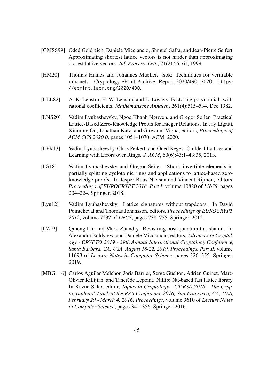- <span id="page-44-1"></span>[GMSS99] Oded Goldreich, Daniele Micciancio, Shmuel Safra, and Jean-Pierre Seifert. Approximating shortest lattice vectors is not harder than approximating closest lattice vectors. *Inf. Process. Lett.*, 71(2):55–61, 1999.
- <span id="page-44-5"></span>[HM20] Thomas Haines and Johannes Mueller. Sok: Techniques for verifiable mix nets. Cryptology ePrint Archive, Report 2020/490, 2020. [https:](https://eprint.iacr.org/2020/490) [//eprint.iacr.org/2020/490](https://eprint.iacr.org/2020/490).
- <span id="page-44-0"></span>[LLL82] A. K. Lenstra, H. W. Lenstra, and L. Lovász. Factoring polynomials with rational coefficients. *Mathematische Annalen*, 261(4):515–534, Dec 1982.
- <span id="page-44-6"></span>[LNS20] Vadim Lyubashevsky, Ngoc Khanh Nguyen, and Gregor Seiler. Practical Lattice-Based Zero-Knowledge Proofs for Integer Relations. In Jay Ligatti, Xinming Ou, Jonathan Katz, and Giovanni Vigna, editors, *Proceedings of ACM CCS 2020 0*, pages 1051–1070. ACM, 2020.
- <span id="page-44-4"></span>[LPR13] Vadim Lyubashevsky, Chris Peikert, and Oded Regev. On Ideal Lattices and Learning with Errors over Rings. *J. ACM*, 60(6):43:1–43:35, 2013.
- <span id="page-44-2"></span>[LS18] Vadim Lyubashevsky and Gregor Seiler. Short, invertible elements in partially splitting cyclotomic rings and applications to lattice-based zeroknowledge proofs. In Jesper Buus Nielsen and Vincent Rijmen, editors, *Proceedings of EUROCRYPT 2018, Part I*, volume 10820 of *LNCS*, pages 204–224. Springer, 2018.
- <span id="page-44-3"></span>[Lyu12] Vadim Lyubashevsky. Lattice signatures without trapdoors. In David Pointcheval and Thomas Johansson, editors, *Proceedings of EUROCRYPT 2012*, volume 7237 of *LNCS*, pages 738–755. Springer, 2012.
- <span id="page-44-7"></span>[LZ19] Qipeng Liu and Mark Zhandry. Revisiting post-quantum fiat-shamir. In Alexandra Boldyreva and Daniele Micciancio, editors, *Advances in Cryptology - CRYPTO 2019 - 39th Annual International Cryptology Conference, Santa Barbara, CA, USA, August 18-22, 2019, Proceedings, Part II*, volume 11693 of *Lecture Notes in Computer Science*, pages 326–355. Springer, 2019.
- <span id="page-44-8"></span>[MBG<sup>+</sup>16] Carlos Aguilar Melchor, Joris Barrier, Serge Guelton, Adrien Guinet, Marc-Olivier Killijian, and Tancrède Lepoint. Nfllib: Ntt-based fast lattice library. In Kazue Sako, editor, *Topics in Cryptology - CT-RSA 2016 - The Cryptographers' Track at the RSA Conference 2016, San Francisco, CA, USA, February 29 - March 4, 2016, Proceedings*, volume 9610 of *Lecture Notes in Computer Science*, pages 341–356. Springer, 2016.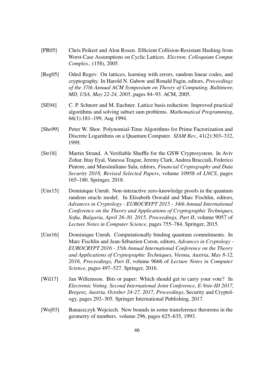- <span id="page-45-5"></span>[PR05] Chris Peikert and Alon Rosen. Efficient Collision-Resistant Hashing from Worst-Case Assumptions on Cyclic Lattices. *Electron. Colloquium Comput. Complex.*, (158), 2005.
- <span id="page-45-3"></span>[Reg05] Oded Regev. On lattices, learning with errors, random linear codes, and cryptography. In Harold N. Gabow and Ronald Fagin, editors, *Proceedings of the 37th Annual ACM Symposium on Theory of Computing, Baltimore, MD, USA, May 22-24, 2005*, pages 84–93. ACM, 2005.
- <span id="page-45-2"></span>[SE94] C. P. Schnorr and M. Euchner. Lattice basis reduction: Improved practical algorithms and solving subset sum problems. *Mathematical Programming*, 66(1):181–199, Aug 1994.
- <span id="page-45-1"></span>[Sho99] Peter W. Shor. Polynomial-Time Algorithms for Prime Factorization and Discrete Logarithms on a Quantum Computer. *SIAM Rev.*, 41(2):303–332, 1999.
- <span id="page-45-6"></span>[Str18] Martin Strand. A Verifiable Shuffle for the GSW Cryptosystem. In Aviv Zohar, Ittay Eyal, Vanessa Teague, Jeremy Clark, Andrea Bracciali, Federico Pintore, and Massimiliano Sala, editors, *Financial Cryptography and Data Security 2018, Revised Selected Papers*, volume 10958 of *LNCS*, pages 165–180. Springer, 2018.
- <span id="page-45-8"></span>[Unr15] Dominique Unruh. Non-interactive zero-knowledge proofs in the quantum random oracle model. In Elisabeth Oswald and Marc Fischlin, editors, *Advances in Cryptology - EUROCRYPT 2015 - 34th Annual International Conference on the Theory and Applications of Cryptographic Techniques, Sofia, Bulgaria, April 26-30, 2015, Proceedings, Part II*, volume 9057 of *Lecture Notes in Computer Science*, pages 755–784. Springer, 2015.
- <span id="page-45-7"></span>[Unr16] Dominique Unruh. Computationally binding quantum commitments. In Marc Fischlin and Jean-Sébastien Coron, editors, *Advances in Cryptology - EUROCRYPT 2016 - 35th Annual International Conference on the Theory and Applications of Cryptographic Techniques, Vienna, Austria, May 8-12, 2016, Proceedings, Part II*, volume 9666 of *Lecture Notes in Computer Science*, pages 497–527. Springer, 2016.
- <span id="page-45-0"></span>[Wil17] Jan Willemson. Bits or paper: Which should get to carry your vote? In *Electronic Voting. Second International Joint Conference, E-Vote-ID 2017, Bregenz, Austria, October 24-27, 2017, Proceedings*, Security and Cryptology, pages 292–305. Springer International Publishing, 2017.
- <span id="page-45-4"></span>[Woj93] Banaszczyk Wojciech. New bounds in some transference theorems in the geometry of numbers. volume 296, pages 625–635, 1993.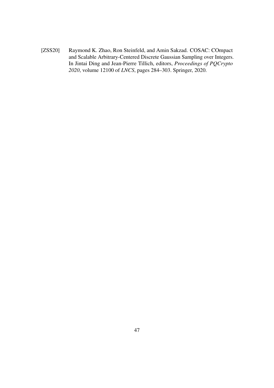<span id="page-46-0"></span>[ZSS20] Raymond K. Zhao, Ron Steinfeld, and Amin Sakzad. COSAC: COmpact and Scalable Arbitrary-Centered Discrete Gaussian Sampling over Integers. In Jintai Ding and Jean-Pierre Tillich, editors, *Proceedings of PQCrypto 2020*, volume 12100 of *LNCS*, pages 284–303. Springer, 2020.